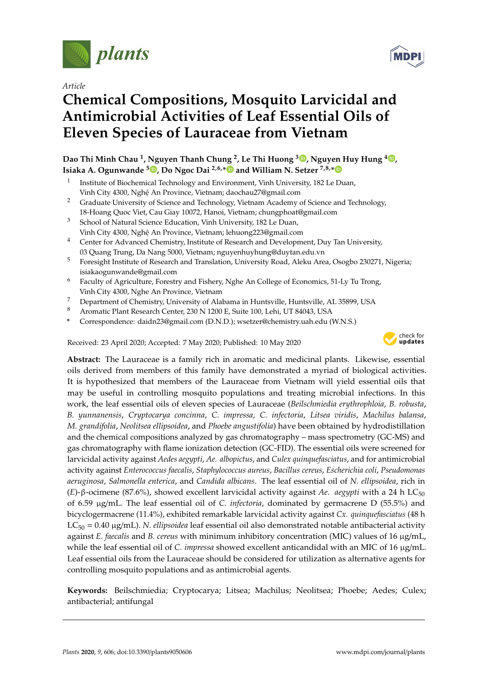

*Article*

# **Chemical Compositions, Mosquito Larvicidal and Antimicrobial Activities of Leaf Essential Oils of Eleven Species of Lauraceae from Vietnam**

# **Dao Thi Minh Chau <sup>1</sup> , Nguyen Thanh Chung <sup>2</sup> , Le Thi Huong <sup>3</sup> [,](https://orcid.org/0000-0003-1123-2037) Nguyen Huy Hung <sup>4</sup> [,](https://orcid.org/0000-0003-4762-741X) Isiaka A. Ogunwande <sup>5</sup> [,](https://orcid.org/0000-0002-5423-887X) Do Ngoc Dai 2,6,[\\*](https://orcid.org/0000-0002-7741-9454) and William N. Setzer 7,8,[\\*](https://orcid.org/0000-0002-3639-0528)**

- 1 Institute of Biochemical Technology and Environment, Vinh University, 182 Le Duan, Vinh City 4300, Nghệ An Province, Vietnam; daochau27@gmail.com
- <sup>2</sup> Graduate University of Science and Technology, Vietnam Academy of Science and Technology, 18-Hoang Quoc Viet, Cau Giay 10072, Hanoi, Vietnam; chungphoat@gmail.com
- <sup>3</sup> School of Natural Science Education, Vinh University, 182 Le Duan, Vinh City 4300, Nghệ An Province, Vietnam; lehuong223@gmail.com
- <sup>4</sup> Center for Advanced Chemistry, Institute of Research and Development, Duy Tan University, 03 Quang Trung, Da Nang 5000, Vietnam; nguyenhuyhung@duytan.edu.vn
- <sup>5</sup> Foresight Institute of Research and Translation, University Road, Aleku Area, Osogbo 230271, Nigeria; isiakaogunwande@gmail.com
- <sup>6</sup> Faculty of Agriculture, Forestry and Fishery, Nghe An College of Economics, 51-Ly Tu Trong, Vinh City 4300, Nghe An Province, Vietnam
- 7 Department of Chemistry, University of Alabama in Huntsville, Huntsville, AL 35899, USA
- <sup>8</sup> Aromatic Plant Research Center, 230 N 1200 E, Suite 100, Lehi, UT 84043, USA
- **\*** Correspondence: daidn23@gmail.com (D.N.D.); wsetzer@chemistry.uah.edu (W.N.S.)

Received: 23 April 2020; Accepted: 7 May 2020; Published: 10 May 2020



**Abstract:** The Lauraceae is a family rich in aromatic and medicinal plants. Likewise, essential oils derived from members of this family have demonstrated a myriad of biological activities. It is hypothesized that members of the Lauraceae from Vietnam will yield essential oils that may be useful in controlling mosquito populations and treating microbial infections. In this work, the leaf essential oils of eleven species of Lauraceae (*Beilschmiedia erythrophloia*, *B. robusta*, *B. yunnanensis*, *Cryptocarya concinna*, *C. impressa*, *C. infectoria*, *Litsea viridis*, *Machilus balansa*, *M. grandifolia*, *Neolitsea ellipsoidea*, and *Phoebe angustifolia*) have been obtained by hydrodistillation and the chemical compositions analyzed by gas chromatography – mass spectrometry (GC-MS) and gas chromatography with flame ionization detection (GC-FID). The essential oils were screened for larvicidal activity against *Aedes aegypti*, *Ae. albopictus*, and *Culex quinquefasciatus*, and for antimicrobial activity against *Enterococcus faecalis*, *Staphylococcus aureus*, *Bacillus cereus*, *Escherichia coli*, *Pseudomonas aeruginosa*, *Salmonella enterica*, and *Candida albicans*. The leaf essential oil of *N. ellipsoidea*, rich in (*E*)-β-ocimene (87.6%), showed excellent larvicidal activity against *Ae. aegypti* with a 24 h LC<sub>50</sub> of 6.59 µg/mL. The leaf essential oil of *C. infectoria*, dominated by germacrene D (55.5%) and bicyclogermacrene (11.4%), exhibited remarkable larvicidal activity against *Cx. quinquefasciatus* (48 h LC<sup>50</sup> = 0.40 µg/mL). *N. ellipsoidea* leaf essential oil also demonstrated notable antibacterial activity against *E. faecalis* and *B. cereus* with minimum inhibitory concentration (MIC) values of 16 µg/mL, while the leaf essential oil of *C. impressa* showed excellent anticandidal with an MIC of 16 µg/mL. Leaf essential oils from the Lauraceae should be considered for utilization as alternative agents for controlling mosquito populations and as antimicrobial agents.

**Keywords:** Beilschmiedia; Cryptocarya; Litsea; Machilus; Neolitsea; Phoebe; Aedes; Culex; antibacterial; antifungal

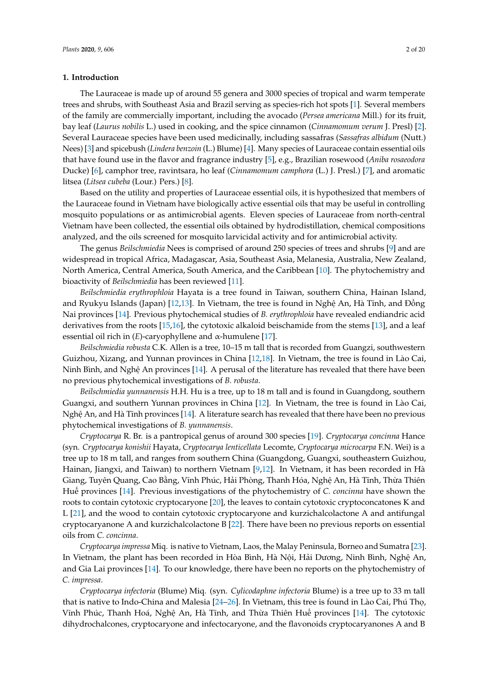#### **1. Introduction**

The Lauraceae is made up of around 55 genera and 3000 species of tropical and warm temperate trees and shrubs, with Southeast Asia and Brazil serving as species-rich hot spots [\[1\]](#page-16-0). Several members of the family are commercially important, including the avocado (*Persea americana* Mill.) for its fruit, bay leaf (*Laurus nobilis* L.) used in cooking, and the spice cinnamon (*Cinnamomum verum* J. Presl) [\[2\]](#page-16-1). Several Lauraceae species have been used medicinally, including sassafras (*Sassafras albidum* (Nutt.) Nees) [\[3\]](#page-16-2) and spicebush (*Lindera benzoin* (L.) Blume) [\[4\]](#page-16-3). Many species of Lauraceae contain essential oils that have found use in the flavor and fragrance industry [\[5\]](#page-16-4), e.g., Brazilian rosewood (*Aniba rosaeodora* Ducke) [\[6\]](#page-16-5), camphor tree, ravintsara, ho leaf (*Cinnamomum camphora* (L.) J. Presl.) [\[7\]](#page-16-6), and aromatic litsea (*Litsea cubeba* (Lour.) Pers.) [\[8\]](#page-16-7).

Based on the utility and properties of Lauraceae essential oils, it is hypothesized that members of the Lauraceae found in Vietnam have biologically active essential oils that may be useful in controlling mosquito populations or as antimicrobial agents. Eleven species of Lauraceae from north-central Vietnam have been collected, the essential oils obtained by hydrodistillation, chemical compositions analyzed, and the oils screened for mosquito larvicidal activity and for antimicrobial activity.

The genus *Beilschmiedia* Nees is comprised of around 250 species of trees and shrubs [\[9\]](#page-16-8) and are widespread in tropical Africa, Madagascar, Asia, Southeast Asia, Melanesia, Australia, New Zealand, North America, Central America, South America, and the Caribbean [\[10\]](#page-16-9). The phytochemistry and bioactivity of *Beilschmiedia* has been reviewed [\[11\]](#page-16-10).

*Beilschmiedia erythrophloia* Hayata is a tree found in Taiwan, southern China, Hainan Island, and Ryukyu Islands (Japan) [\[12](#page-16-11)[,13\]](#page-16-12). In Vietnam, the tree is found in Nghệ An, Hà Tĩnh, and Đồng Nai provinces [\[14\]](#page-16-13). Previous phytochemical studies of *B. erythrophloia* have revealed endiandric acid derivatives from the roots [\[15,](#page-16-14)[16\]](#page-16-15), the cytotoxic alkaloid beischamide from the stems [\[13\]](#page-16-12), and a leaf essential oil rich in  $(E)$ -caryophyllene and  $\alpha$ -humulene [\[17\]](#page-16-16).

*Beilschmiedia robusta* C.K. Allen is a tree, 10–15 m tall that is recorded from Guangzi, southwestern Guizhou, Xizang, and Yunnan provinces in China [\[12](#page-16-11)[,18\]](#page-16-17). In Vietnam, the tree is found in Lào Cai, Ninh Bình, and Nghệ An provinces [\[14\]](#page-16-13). A perusal of the literature has revealed that there have been no previous phytochemical investigations of *B. robusta*.

*Beilschmiedia yunnanensis* H.H. Hu is a tree, up to 18 m tall and is found in Guangdong, southern Guangxi, and southern Yunnan provinces in China [\[12\]](#page-16-11). In Vietnam, the tree is found in Lào Cai, Nghệ An, and Hà Tĩnh provinces [\[14\]](#page-16-13). A literature search has revealed that there have been no previous phytochemical investigations of *B. yunnanensis*.

*Cryptocarya* R. Br. is a pantropical genus of around 300 species [\[19\]](#page-16-18). *Cryptocarya concinna* Hance (syn. *Cryptocarya konishii* Hayata, *Cryptocarya lenticellata* Lecomte, *Cryptocarya microcarpa* F.N. Wei) is a tree up to 18 m tall, and ranges from southern China (Guangdong, Guangxi, southeastern Guizhou, Hainan, Jiangxi, and Taiwan) to northern Vietnam [\[9,](#page-16-8)[12\]](#page-16-11). In Vietnam, it has been recorded in Hà Giang, Tuyên Quang, Cao Bằng, Vĩnh Phúc, Hải Phòng, Thanh Hóa, Nghệ An, Hà Tĩnh, Thừa Thiên Huế provinces [\[14\]](#page-16-13). Previous investigations of the phytochemistry of *C. concinna* have shown the roots to contain cytotoxic cryptocaryone [\[20\]](#page-16-19), the leaves to contain cytotoxic cryptoconcatones K and L [\[21\]](#page-17-0), and the wood to contain cytotoxic cryptocaryone and kurzichalcolactone A and antifungal cryptocaryanone A and kurzichalcolactone B [\[22\]](#page-17-1). There have been no previous reports on essential oils from *C. concinna*.

*Cryptocarya impressa* Miq. is native to Vietnam, Laos, the Malay Peninsula, Borneo and Sumatra [\[23\]](#page-17-2). In Vietnam, the plant has been recorded in Hòa Bình, Hà Nội, Hải Dương, Ninh Bình, Nghệ An, and Gia Lai provinces [\[14\]](#page-16-13). To our knowledge, there have been no reports on the phytochemistry of *C. impressa*.

*Cryptocarya infectoria* (Blume) Miq. (syn. *Cylicodaphne infectoria* Blume) is a tree up to 33 m tall that is native to Indo-China and Malesia [\[24–](#page-17-3)[26\]](#page-17-4). In Vietnam, this tree is found in Lào Cai, Phú Thọ, Vĩnh Phúc, Thanh Hoá, Nghệ An, Hà Tĩnh, and Thừa Thiên Huế provinces [\[14\]](#page-16-13). The cytotoxic dihydrochalcones, cryptocaryone and infectocaryone, and the flavonoids cryptocaryanones A and B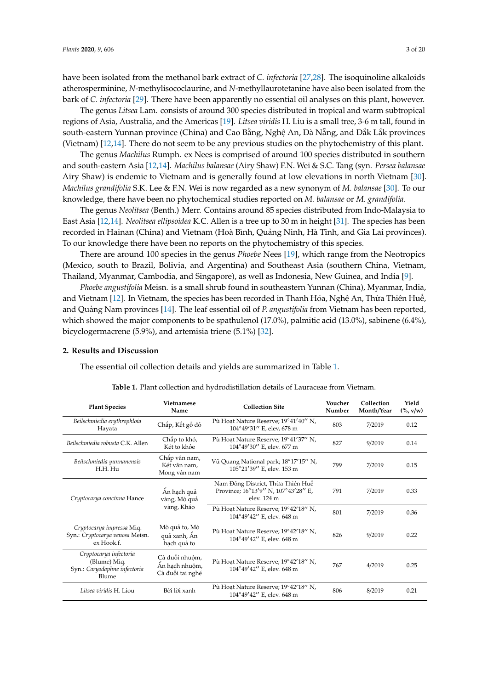have been isolated from the methanol bark extract of *C. infectoria* [\[27](#page-17-5)[,28\]](#page-17-6). The isoquinoline alkaloids atherosperminine, *N*-methylisococlaurine, and *N*-methyllaurotetanine have also been isolated from the bark of *C. infectoria* [\[29\]](#page-17-7). There have been apparently no essential oil analyses on this plant, however.

The genus *Litsea* Lam. consists of around 300 species distributed in tropical and warm subtropical regions of Asia, Australia, and the Americas [\[19\]](#page-16-18). *Litsea viridis* H. Liu is a small tree, 3-6 m tall, found in south-eastern Yunnan province (China) and Cao Bằng, Nghệ An, Đà Nẵng, and Đắk Lắk provinces (Vietnam) [\[12,](#page-16-11)[14\]](#page-16-13). There do not seem to be any previous studies on the phytochemistry of this plant.

The genus *Machilus* Rumph. ex Nees is comprised of around 100 species distributed in southern and south-eastern Asia [\[12,](#page-16-11)[14\]](#page-16-13). *Machilus balansae* (Airy Shaw) F.N. Wei & S.C. Tang (syn. *Persea balansae* Airy Shaw) is endemic to Vietnam and is generally found at low elevations in north Vietnam [\[30\]](#page-17-8). *Machilus grandifolia* S.K. Lee & F.N. Wei is now regarded as a new synonym of *M. balansae* [\[30\]](#page-17-8). To our knowledge, there have been no phytochemical studies reported on *M. balansae* or *M. grandifolia*.

The genus *Neolitsea* (Benth.) Merr. Contains around 85 species distributed from Indo-Malaysia to East Asia [\[12,](#page-16-11)[14\]](#page-16-13). *Neolitsea ellipsoidea* K.C. Allen is a tree up to 30 m in height [\[31\]](#page-17-9). The species has been recorded in Hainan (China) and Vietnam (Hoà Bình, Quảng Ninh, Hà Tĩnh, and Gia Lai provinces). To our knowledge there have been no reports on the phytochemistry of this species.

There are around 100 species in the genus *Phoebe* Nees [\[19\]](#page-16-18), which range from the Neotropics (Mexico, south to Brazil, Bolivia, and Argentina) and Southeast Asia (southern China, Vietnam, Thailand, Myanmar, Cambodia, and Singapore), as well as Indonesia, New Guinea, and India [\[9\]](#page-16-8).

*Phoebe angustifolia* Meisn. is a small shrub found in southeastern Yunnan (China), Myanmar, India, and Vietnam [\[12\]](#page-16-11). In Vietnam, the species has been recorded in Thanh Hóa, Nghệ An, Thừa Thiên Huế, and Quảng Nam provinces [\[14\]](#page-16-13). The leaf essential oil of *P. angustifolia* from Vietnam has been reported, which showed the major components to be spathulenol (17.0%), palmitic acid (13.0%), sabinene (6.4%), bicyclogermacrene (5.9%), and artemisia triene (5.1%) [\[32\]](#page-17-10).

#### **2. Results and Discussion**

The essential oil collection details and yields are summarized in Table [1.](#page-2-0)

<span id="page-2-0"></span>

| <b>Plant Species</b>                                                            | <b>Vietnamese</b><br>Name                            | <b>Collection Site</b>                                                                  | Voucher<br>Number | Collection<br>Month/Year | Yield<br>$(\%, v/w)$ |
|---------------------------------------------------------------------------------|------------------------------------------------------|-----------------------------------------------------------------------------------------|-------------------|--------------------------|----------------------|
| Beilschmiedia erythrophloia<br>Hayata                                           | Chắp, Kết gỗ đỏ                                      | Pù Hoat Nature Reserve; 19°41'40" N,<br>104°49'31" E, elev, 678 m                       | 803               | 7/2019                   | 0.12                 |
| Beilschmiedia robusta C.K. Allen                                                | Chắp to khỏ,<br>Két to khỏe                          | Pù Hoat Nature Reserve; 19°41'37" N.<br>104°49'30" E, elev. 677 m                       | 827               | 9/2019                   | 0.14                 |
| Beilschmiedia yunnanensis<br>H.H. Hu                                            | Chắp vân nam,<br>Két vân nam,<br>Mong vân nam        | Vũ Quang National park; 18°17'15" N,<br>105°21'39" E, elev. 153 m                       | 799               | 7/2019                   | 0.15                 |
| Cryptocarya concinna Hance                                                      | Ân hạch quả<br>vàng, Mò quả                          | Nam Đông District, Thừa Thiên Huế<br>Province; 16°13'9" N, 107°43'28" E,<br>elev. 124 m | 791               | 7/2019                   | 0.33                 |
|                                                                                 | vàng, Kháo                                           | Pù Hoat Nature Reserve; 19°42'18" N,<br>104°49'42" E, elev. 648 m                       | 801               | 7/2019                   | 0.36                 |
| Cryptocarya impressa Miq.<br>Syn.: Cryptocarya venosa Meisn.<br>ex Hook.f.      | Mò quả to, Mò<br>quả xanh, Ân<br>hạch quả to         | Pù Hoat Nature Reserve; 19°42'18" N.<br>104°49'42" E, elev. 648 m                       | 826               | 9/2019                   | 0.22                 |
| Cryptocarya infectoria<br>(Blume) Miq.<br>Syn.: Caryodaphne infectoria<br>Blume | Cà đuối nhuôm,<br>Ân hạch nhuộm,<br>Cà đuối tai nghé | Pù Hoat Nature Reserve; 19°42'18" N,<br>104°49'42" E, elev. 648 m                       | 767               | 4/2019                   | 0.25                 |
| Litsea viridis H. Liou                                                          | Bời lời xanh                                         | Pù Hoat Nature Reserve; 19°42'18" N.<br>104°49'42" E, elev. 648 m                       | 806               | 8/2019                   | 0.21                 |

**Table 1.** Plant collection and hydrodistillation details of Lauraceae from Vietnam.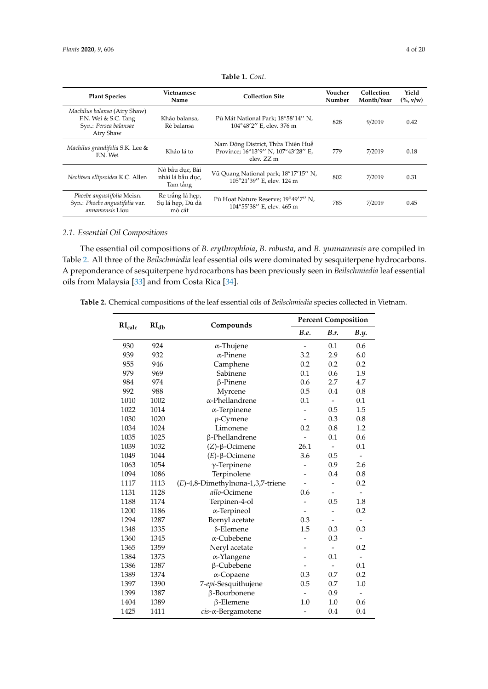| <b>Plant Species</b>                                                                       | Vietnamese<br>Name                              | <b>Collection Site</b>                                                                 | Voucher<br>Number | Collection<br>Month/Year | Yield<br>$(\%, v/w)$ |
|--------------------------------------------------------------------------------------------|-------------------------------------------------|----------------------------------------------------------------------------------------|-------------------|--------------------------|----------------------|
| Machilus balansa (Airy Shaw)<br>F.N. Wei & S.C. Tang<br>Syn.: Persea balansae<br>Airy Shaw | Kháo balansa,<br>Rè balansa                     | Pù Mát National Park; 18°58'14" N,<br>104°48'2" E, elev. 376 m                         | 828               | 9/2019                   | 0.42                 |
| Machilus grandifolia S.K. Lee &<br>F.N. Wei                                                | Kháo lá to                                      | Nam Đông District, Thừa Thiên Huế<br>Province; 16°13'9" N, 107°43'28" E,<br>elev. ZZ m | 779               | 7/2019                   | 0.18                 |
| Neolitsea ellipsoidea K.C. Allen                                                           | Nô bầu duc, Bài<br>nhài lá bầu duc,<br>Tam tầng | Vũ Quang National park; 18°17'15" N,<br>105°21'39" E, elev. 124 m                      | 802               | 7/2019                   | 0.31                 |
| Phoebe angustifolia Meisn.<br>Syn.: Phoebe angustifolia var.<br><i>annamensis</i> Liou     | Re trắng lá hẹp,<br>Su lá hep, Dù dà<br>mò cát  | Pù Hoat Nature Reserve; 19°49'7" N.<br>104°55'38" E, elev. 465 m                       | 785               | 7/2019                   | 0.45                 |

**Table 1.** *Cont.*

# *2.1. Essential Oil Compositions*

The essential oil compositions of *B. erythrophloia*, *B. robusta*, and *B. yunnanensis* are compiled in Table [2.](#page-3-0) All three of the *Beilschmiedia* leaf essential oils were dominated by sesquiterpene hydrocarbons. A preponderance of sesquiterpene hydrocarbons has been previously seen in *Beilschmiedia* leaf essential oils from Malaysia [\[33\]](#page-17-11) and from Costa Rica [\[34\]](#page-17-12).

<span id="page-3-0"></span>**Table 2.** Chemical compositions of the leaf essential oils of *Beilschmiedia* species collected in Vietnam.

| RI <sub>calc</sub> | RI <sub>db</sub> | Compounds                         |                          | <b>Percent Composition</b> |                              |
|--------------------|------------------|-----------------------------------|--------------------------|----------------------------|------------------------------|
|                    |                  |                                   | <b>B.e.</b>              | B.r.                       | B.y.                         |
| 930                | 924              | $\alpha$ -Thujene                 | $\overline{a}$           | 0.1                        | 0.6                          |
| 939                | 932              | $\alpha$ -Pinene                  | 3.2                      | 2.9                        | 6.0                          |
| 955                | 946              | Camphene                          | 0.2                      | 0.2                        | 0.2                          |
| 979                | 969              | Sabinene                          | 0.1                      | 0.6                        | 1.9                          |
| 984                | 974              | $\beta$ -Pinene                   | 0.6                      | 2.7                        | 4.7                          |
| 992                | 988              | Myrcene                           | 0.5                      | 0.4                        | 0.8                          |
| 1010               | 1002             | $\alpha$ -Phellandrene            | 0.1                      | $\frac{1}{2}$              | 0.1                          |
| 1022               | 1014             | $\alpha$ -Terpinene               |                          | 0.5                        | 1.5                          |
| 1030               | 1020             | $p$ -Cymene                       | $\frac{1}{2}$            | 0.3                        | 0.8                          |
| 1034               | 1024             | Limonene                          | 0.2                      | 0.8                        | 1.2                          |
| 1035               | 1025             | β-Phellandrene                    | $\overline{a}$           | 0.1                        | 0.6                          |
| 1039               | 1032             | $(Z)$ -β-Ocimene                  | 26.1                     | $\frac{1}{2}$              | 0.1                          |
| 1049               | 1044             | $(E)$ - $\beta$ -Ocimene          | 3.6                      | 0.5                        | $\qquad \qquad \blacksquare$ |
| 1063               | 1054             | $\gamma$ -Terpinene               | $\overline{a}$           | 0.9                        | 2.6                          |
| 1094               | 1086             | Terpinolene                       | $\overline{a}$           | 0.4                        | 0.8                          |
| 1117               | 1113             | (E)-4,8-Dimethylnona-1,3,7-triene |                          | $\overline{a}$             | 0.2                          |
| 1131               | 1128             | allo-Ocimene                      | 0.6                      |                            |                              |
| 1188               | 1174             | Terpinen-4-ol                     |                          | 0.5                        | 1.8                          |
| 1200               | 1186             | $\alpha$ -Terpineol               |                          |                            | 0.2                          |
| 1294               | 1287             | Bornyl acetate                    | 0.3                      |                            |                              |
| 1348               | 1335             | δ-Elemene                         | 1.5                      | 0.3                        | 0.3                          |
| 1360               | 1345             | α-Cubebene                        | $\overline{a}$           | 0.3                        | $\overline{\phantom{a}}$     |
| 1365               | 1359             | Neryl acetate                     |                          | $\overline{\phantom{a}}$   | 0.2                          |
| 1384               | 1373             | $\alpha$ -Ylangene                |                          | 0.1                        | $\overline{a}$               |
| 1386               | 1387             | β-Cubebene                        | $\overline{\phantom{a}}$ | $\frac{1}{2}$              | 0.1                          |
| 1389               | 1374             | $\alpha$ -Copaene                 | 0.3                      | 0.7                        | 0.2                          |
| 1397               | 1390             | 7-epi-Sesquithujene               | 0.5                      | 0.7                        | 1.0                          |
| 1399               | 1387             | β-Bourbonene                      |                          | 0.9                        |                              |
| 1404               | 1389             | β-Elemene                         | $1.0\,$                  | 1.0                        | 0.6                          |
| 1425               | 1411             | cis-a-Bergamotene                 |                          | 0.4                        | 0.4                          |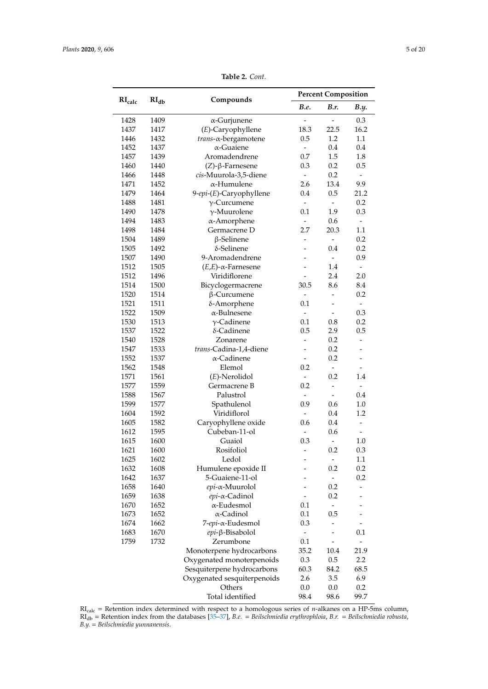|                    |                  |                               |                          | <b>Percent Composition</b>   |                              |
|--------------------|------------------|-------------------------------|--------------------------|------------------------------|------------------------------|
| RI <sub>calc</sub> | RI <sub>db</sub> | Compounds                     | <b>B.e.</b>              | B.r.                         | <b>B.y.</b>                  |
| 1428               | 1409             | $\alpha$ -Gurjunene           |                          |                              | 0.3                          |
| 1437               | 1417             | (E)-Caryophyllene             | 18.3                     | 22.5                         | 16.2                         |
| 1446               | 1432             | trans-a-bergamotene           | 0.5                      | 1.2                          | 1.1                          |
| 1452               | 1437             | $\alpha$ -Guaiene             | $\overline{\phantom{0}}$ | 0.4                          | 0.4                          |
| 1457               | 1439             | Aromadendrene                 | 0.7                      | 1.5                          | 1.8                          |
| 1460               | 1440             | $(Z)$ -β-Farnesene            | 0.3                      | 0.2                          | 0.5                          |
| 1466               | 1448             | cis-Muurola-3,5-diene         | $\blacksquare$           | 0.2                          | $\overline{\phantom{a}}$     |
| 1471               | 1452             | $\alpha$ -Humulene            | 2.6                      | 13.4                         | 9.9                          |
| 1479               | 1464             | 9-epi-(E)-Caryophyllene       | 0.4                      | 0.5                          | 21.2                         |
| 1488               | 1481             | $\gamma$ -Curcumene           | $\overline{a}$           | $\overline{\phantom{0}}$     | 0.2                          |
| 1490               | 1478             | $\gamma$ -Muurolene           | 0.1                      | 1.9                          | 0.3                          |
| 1494               | 1483             | $\alpha$ -Amorphene           | $\overline{\phantom{a}}$ | 0.6                          | $\overline{\phantom{a}}$     |
| 1498               | 1484             | Germacrene D                  | 2.7                      | 20.3                         | 1.1                          |
| 1504               | 1489             | $\beta$ -Selinene             | -                        | $\qquad \qquad \blacksquare$ | 0.2                          |
| 1505               | 1492             | $\delta$ -Selinene            | $\overline{a}$           | 0.4                          | 0.2                          |
| 1507               | 1490             | 9-Aromadendrene               |                          | $\frac{1}{2}$                | 0.9                          |
| 1512               | 1505             | $(E,E)$ - $\alpha$ -Farnesene |                          | 1.4                          | $\blacksquare$               |
| 1512               | 1496             | Viridiflorene                 | $\overline{\phantom{0}}$ | 2.4                          | 2.0                          |
| 1514               | 1500             | Bicyclogermacrene             | 30.5                     | 8.6                          | 8.4                          |
| 1520               | 1514             | $\beta$ -Curcumene            |                          |                              | 0.2                          |
| 1521               | 1511             | δ-Amorphene                   | 0.1                      |                              | $\blacksquare$               |
| 1522               | 1509             | $\alpha$ -Bulnesene           | $\overline{\phantom{a}}$ | $\overline{a}$               | 0.3                          |
| 1530               | 1513             | $\gamma$ -Cadinene            | 0.1                      | 0.8                          | 0.2                          |
|                    |                  |                               | 0.5                      |                              |                              |
| 1537               | 1522             | δ-Cadinene                    | $\frac{1}{2}$            | 2.9                          | 0.5<br>$\overline{a}$        |
| 1540               | 1528             | Zonarene                      |                          | 0.2                          |                              |
| 1547               | 1533             | trans-Cadina-1,4-diene        | $\overline{\phantom{a}}$ | 0.2                          | $\overline{\phantom{m}}$     |
| 1552               | 1537             | $\alpha$ -Cadinene            |                          | 0.2                          | $\overline{\phantom{m}}$     |
| 1562               | 1548             | Elemol                        | 0.2                      | $\overline{\phantom{a}}$     | $\overline{\phantom{a}}$     |
| 1571               | 1561             | $(E)$ -Nerolidol              | $\overline{\phantom{0}}$ | 0.2                          | 1.4                          |
| 1577               | 1559             | Germacrene B                  | 0.2                      | $\overline{a}$               | $\overline{\phantom{a}}$     |
| 1588               | 1567             | Palustrol                     | -                        | $\frac{1}{2}$                | 0.4                          |
| 1599               | 1577             | Spathulenol                   | 0.9                      | 0.6                          | $1.0\,$                      |
| 1604               | 1592             | Viridiflorol                  | $\overline{\phantom{a}}$ | 0.4                          | 1.2                          |
| 1605               | 1582             | Caryophyllene oxide           | 0.6                      | 0.4                          | $\frac{1}{2}$                |
| 1612               | 1595             | Cubeban-11-ol                 |                          | 0.6                          |                              |
| 1615               | 1600             | Guaiol                        | 0.3                      | $\frac{1}{2}$                | 1.0                          |
| 1621               | 1600             | Rosifoliol                    | -                        | 0.2                          | 0.3                          |
| 1625               | 1602             | Ledol                         |                          | $\overline{\phantom{0}}$     | 1.1                          |
| 1632               | 1608             | Humulene epoxide II           |                          | 0.2                          | 0.2                          |
| 1642               | 1637             | 5-Guaiene-11-ol               |                          | $\overline{\phantom{a}}$     | 0.2                          |
| 1658               | 1640             | $epi$ - $\alpha$ -Muurolol    | $\overline{a}$           | 0.2                          | -                            |
| 1659               | 1638             | epi-α-Cadinol                 |                          | 0.2                          |                              |
| 1670               | 1652             | $\alpha$ -Eudesmol            | 0.1                      | $\overline{\phantom{a}}$     |                              |
| 1673               | 1652             | α-Cadinol                     | 0.1                      | 0.5                          |                              |
| 1674               | 1662             | 7-epi-α-Eudesmol              | 0.3                      |                              |                              |
| 1683               | 1670             | epi-β-Bisabolol               | -                        |                              | 0.1                          |
| 1759               | 1732             | Zerumbone                     | 0.1                      |                              | $\qquad \qquad \blacksquare$ |
|                    |                  | Monoterpene hydrocarbons      | 35.2                     | 10.4                         | 21.9                         |
|                    |                  | Oxygenated monoterpenoids     | 0.3                      | 0.5                          | 2.2                          |
|                    |                  | Sesquiterpene hydrocarbons    | 60.3                     | 84.2                         | 68.5                         |
|                    |                  | Oxygenated sesquiterpenoids   | 2.6                      | 3.5                          | 6.9                          |
|                    |                  | Others                        | 0.0                      | 0.0                          | 0.2                          |
|                    |                  | Total identified              | 98.4                     | 98.6                         | 99.7                         |

**Table 2.** *Cont.*

RIcalc = Retention index determined with respect to a homologous series of *n*-alkanes on a HP-5ms column, RIdb = Retention index from the databases [\[35](#page-17-13)[–37\]](#page-17-14), *B.e.* = *Beilschmiedia erythrophloia*, *B.r.* = *Beilschmiedia robusta*, *B.y.* = *Beilschmiedia yunnanensis*.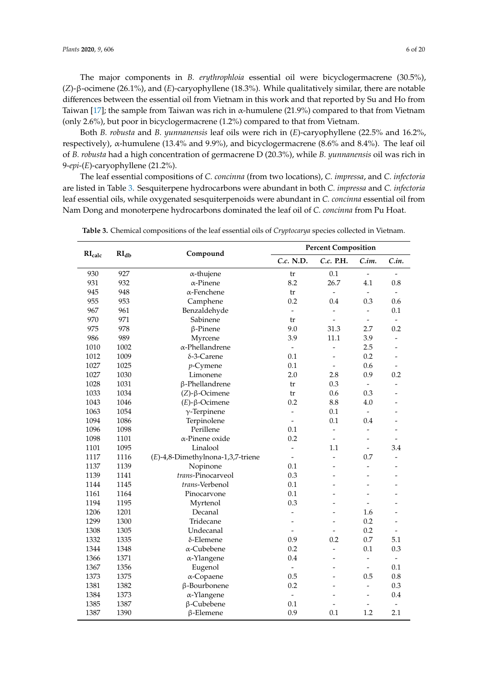The major components in *B. erythrophloia* essential oil were bicyclogermacrene (30.5%), (*Z*)-β-ocimene (26.1%), and (*E*)-caryophyllene (18.3%). While qualitatively similar, there are notable differences between the essential oil from Vietnam in this work and that reported by Su and Ho from Taiwan [\[17\]](#page-16-16); the sample from Taiwan was rich in  $\alpha$ -humulene (21.9%) compared to that from Vietnam (only 2.6%), but poor in bicyclogermacrene (1.2%) compared to that from Vietnam.

Both *B. robusta* and *B. yunnanensis* leaf oils were rich in (*E*)-caryophyllene (22.5% and 16.2%, respectively),  $\alpha$ -humulene (13.4% and 9.9%), and bicyclogermacrene (8.6% and 8.4%). The leaf oil of *B. robusta* had a high concentration of germacrene D (20.3%), while *B. yunnanensis* oil was rich in 9-*epi*-(*E*)-caryophyllene (21.2%).

The leaf essential compositions of *C. concinna* (from two locations), *C. impressa*, and *C. infectoria* are listed in Table [3.](#page-5-0) Sesquiterpene hydrocarbons were abundant in both *C. impressa* and *C. infectoria* leaf essential oils, while oxygenated sesquiterpenoids were abundant in *C. concinna* essential oil from Nam Dong and monoterpene hydrocarbons dominated the leaf oil of *C. concinna* from Pu Hoat.

|                             |                  |                                      | <b>Percent Composition</b> |                          |                          |                          |
|-----------------------------|------------------|--------------------------------------|----------------------------|--------------------------|--------------------------|--------------------------|
| $\mathbf{RI}_{\text{calc}}$ | RI <sub>db</sub> | Compound                             | C.c. N.D.                  | C.c. P.H.                | C.in.                    | C.in.                    |
| 930                         | 927              | $\alpha$ -thujene                    | tr                         | 0.1                      | $\overline{a}$           |                          |
| 931                         | 932              | $\alpha$ -Pinene                     | 8.2                        | 26.7                     | 4.1                      | 0.8                      |
| 945                         | 948              | $\alpha$ -Fenchene                   | tr                         | $\overline{\phantom{0}}$ | $\overline{\phantom{a}}$ | $\overline{\phantom{0}}$ |
| 955                         | 953              | Camphene                             | 0.2                        | 0.4                      | 0.3                      | 0.6                      |
| 967                         | 961              | Benzaldehyde                         | $\frac{1}{2}$              |                          | $\overline{a}$           | 0.1                      |
| 970                         | 971              | Sabinene                             | tr                         | $\overline{a}$           | $\blacksquare$           |                          |
| 975                         | 978              | $\beta$ -Pinene                      | 9.0                        | 31.3                     | 2.7                      | 0.2                      |
| 986                         | 989              | Myrcene                              | 3.9                        | 11.1                     | 3.9                      |                          |
| 1010                        | 1002             | $\alpha$ -Phellandrene               | $\overline{\phantom{a}}$   |                          | 2.5                      |                          |
| 1012                        | 1009             | $\delta$ -3-Carene                   | 0.1                        |                          | 0.2                      |                          |
| 1027                        | 1025             | $p$ -Cymene                          | 0.1                        |                          | 0.6                      |                          |
| 1027                        | 1030             | Limonene                             | 2.0                        | 2.8                      | 0.9                      | 0.2                      |
| 1028                        | 1031             | β-Phellandrene                       | tr                         | 0.3                      | $\blacksquare$           |                          |
| 1033                        | 1034             | $(Z)$ -β-Ocimene                     | tr                         | 0.6                      | 0.3                      |                          |
| 1043                        | 1046             | $(E)$ - $\beta$ -Ocimene             | 0.2                        | 8.8                      | 4.0                      |                          |
| 1063                        | 1054             | $\gamma$ -Terpinene                  | $\overline{a}$             | 0.1                      | $\frac{1}{2}$            |                          |
| 1094                        | 1086             | Terpinolene                          | $\overline{\phantom{a}}$   | 0.1                      | 0.4                      |                          |
| 1096                        | 1098             | Perillene                            | 0.1                        |                          | $\overline{\phantom{0}}$ |                          |
| 1098                        | 1101             | α-Pinene oxide                       | 0.2                        |                          |                          |                          |
| 1101                        | 1095             | Linalool                             | $\overline{\phantom{0}}$   | 1.1                      | $\overline{a}$           | 3.4                      |
| 1117                        | 1116             | $(E)$ -4,8-Dimethylnona-1,3,7-triene |                            |                          | 0.7                      |                          |
| 1137                        | 1139             | Nopinone                             | 0.1                        |                          | $\overline{a}$           |                          |
| 1139                        | 1141             | trans-Pinocarveol                    | 0.3                        |                          |                          |                          |
| 1144                        | 1145             | trans-Verbenol                       | 0.1                        |                          | $\overline{a}$           |                          |
| 1161                        | 1164             | Pinocarvone                          | 0.1                        |                          | ۳                        |                          |
| 1194                        | 1195             | Myrtenol                             | 0.3                        |                          |                          |                          |
| 1206                        | 1201             | Decanal                              | $\overline{a}$             |                          | 1.6                      |                          |
| 1299                        | 1300             | Tridecane                            | $\overline{\phantom{0}}$   | ۳                        | 0.2                      | $\overline{a}$           |
| 1308                        | 1305             | Undecanal                            |                            |                          | 0.2                      |                          |
| 1332                        | 1335             | δ-Elemene                            | 0.9                        | 0.2                      | 0.7                      | 5.1                      |
| 1344                        | 1348             | $\alpha$ -Cubebene                   | 0.2                        | $\overline{\phantom{0}}$ | 0.1                      | 0.3                      |
| 1366                        | 1371             | $\alpha$ -Ylangene                   | 0.4                        | L.                       |                          |                          |
| 1367                        | 1356             | Eugenol                              | $\overline{\phantom{a}}$   |                          | $\overline{a}$           | 0.1                      |
| 1373                        | 1375             | $\alpha$ -Copaene                    | 0.5                        | $\overline{a}$           | 0.5                      | 0.8                      |
| 1381                        | 1382             | β-Bourbonene                         | 0.2                        |                          | $\overline{a}$           | 0.3                      |
| 1384                        | 1373             | α-Ylangene                           | $\overline{\phantom{a}}$   |                          | -                        | 0.4                      |
| 1385                        | 1387             | β-Cubebene                           | 0.1                        |                          |                          |                          |
| 1387                        | 1390             | $\beta$ -Elemene                     | 0.9                        | 0.1                      | 1.2                      | 2.1                      |

<span id="page-5-0"></span>**Table 3.** Chemical compositions of the leaf essential oils of *Cryptocarya* species collected in Vietnam.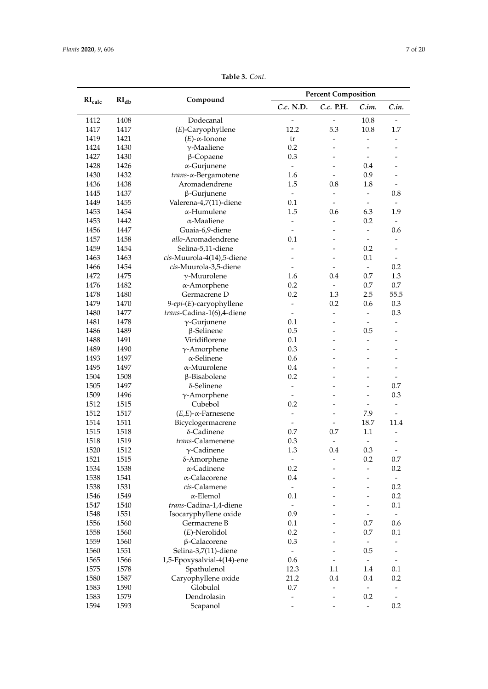| RI <sub>db</sub><br>RI <sub>calc</sub><br>Compound<br>C.c. N.D.<br>C.c. P.H.<br>C.in.<br>C.in.<br>10.8<br>1412<br>1408<br>Dodecanal<br>1417<br>5.3<br>10.8<br>1417<br>(E)-Caryophyllene<br>12.2<br>1.7<br>$(E)$ - $\alpha$ -Ionone<br>1419<br>1421<br>tr<br>$\frac{1}{2}$<br>$\overline{\phantom{a}}$<br>$\overline{\phantom{a}}$<br>1430<br>0.2<br>1424<br>$\gamma$ -Maaliene<br>1427<br>1430<br>0.3<br>$\beta$ -Copaene<br>1426<br>$\alpha$ -Gurjunene<br>1428<br>0.4<br>$\overline{\phantom{a}}$<br>1430<br>1432<br>0.9<br>trans-x-Bergamotene<br>1.6<br>1438<br>Aromadendrene<br>1.5<br>1.8<br>1436<br>0.8<br>1437<br>0.8<br>1445<br>$\beta$ -Gurjunene<br>$\equiv$<br>$\frac{1}{2}$<br>1455<br>Valerena-4,7(11)-diene<br>1449<br>0.1<br>$\overline{\phantom{a}}$<br>$\overline{\phantom{a}}$<br>1453<br>1454<br>1.5<br>6.3<br>1.9<br>α-Humulene<br>0.6<br>1453<br>0.2<br>1442<br>$\alpha$ -Maaliene<br>$\overline{\phantom{a}}$<br>1456<br>Guaia-6,9-diene<br>0.6<br>1447<br>$\overline{a}$<br>$\blacksquare$<br>1457<br>1458<br>allo-Aromadendrene<br>0.1<br>$\overline{\phantom{a}}$<br>$\overline{a}$<br>Selina-5,11-diene<br>0.2<br>1459<br>1454<br>0.1<br>1463<br>1463<br>cis-Muurola-4(14),5-diene<br>$\overline{a}$<br>0.2<br>1466<br>1454<br>cis-Muurola-3,5-diene<br>$\omega$<br>$\blacksquare$<br>1472<br>1475<br>0.7<br>1.3<br>$\gamma$ -Muurolene<br>0.4<br>1.6<br>0.2<br>0.7<br>0.7<br>1476<br>1482<br>$\alpha$ -Amorphene<br>1478<br>1480<br>Germacrene D<br>0.2<br>1.3<br>2.5<br>55.5<br>1479<br>1470<br>0.2<br>0.3<br>9-epi-(E)-caryophyllene<br>0.6<br>$\overline{\phantom{a}}$<br>1480<br>1477<br>0.3<br>trans-Cadina-1(6),4-diene<br>$\blacksquare$<br>1478<br>1481<br>$\gamma$ -Gurjunene<br>0.1<br>1486<br>1489<br>0.5<br>0.5<br>$\beta$ -Selinene<br>1491<br>Viridiflorene<br>0.1<br>1488<br>$\frac{1}{2}$<br>1489<br>1490<br>0.3<br>$\gamma$ -Amorphene<br>$\overline{\phantom{a}}$<br>$\alpha$ -Selinene<br>1493<br>1497<br>0.6<br>1495<br>1497<br>$\alpha$ -Muurolene<br>0.4<br>1504<br>0.2<br>1508<br>β-Bisabolene<br>$\rightarrow$<br>1505<br>δ-Selinene<br>0.7<br>1497<br>$\blacksquare$<br>1509<br>$\gamma$ -Amorphene<br>0.3<br>1496<br>$\blacksquare$<br>$\overline{a}$<br>Cubebol<br>0.2<br>1512<br>1515<br>$\overline{\phantom{a}}$<br>$\blacksquare$<br>1512<br>1517<br>7.9<br>$(E,E)$ - $\alpha$ -Farnesene<br>$\overline{\phantom{a}}$<br>$\overline{\phantom{a}}$<br>18.7<br>1514<br>1511<br>Bicyclogermacrene<br>11.4<br>1515<br>0.7<br>0.7<br>1518<br>δ-Cadinene<br>1.1<br>0.3<br>1518<br>1519<br>trans-Calamenene<br>$\overline{a}$<br>$\gamma$ -Cadinene<br>1.3<br>0.3<br>1520<br>1512<br>0.4<br>1521<br>1515<br>δ-Amorphene<br>0.2<br>0.7<br>1534<br>1538<br>$\alpha$ -Cadinene<br>0.2<br>0.2<br>$\frac{1}{2}$<br>α-Calacorene<br>1538<br>1541<br>0.4<br>1538<br>1531<br>0.2<br>cis-Calamene<br>$\overline{\phantom{a}}$<br>$\alpha$ -Elemol<br>1546<br>1549<br>0.1<br>0.2<br>1547<br>1540<br>trans-Cadina-1,4-diene<br>0.1<br>$\blacksquare$<br>1548<br>1551<br>Isocaryphyllene oxide<br>0.9<br>$\overline{\phantom{a}}$<br>1556<br>1560<br>0.7<br>0.6<br>Germacrene B<br>0.1<br>1558<br>1560<br>$(E)$ -Nerolidol<br>0.2<br>0.7<br>0.1<br>0.3<br>1559<br>1560<br>β-Calacorene<br>$\frac{1}{2}$<br>0.5<br>1560<br>1551<br>Selina-3,7(11)-diene<br>$\overline{\phantom{a}}$<br>1565<br>1566<br>1,5-Epoxysalvial-4(14)-ene<br>0.6<br>$\frac{1}{2}$<br>1575<br>1578<br>0.1<br>Spathulenol<br>12.3<br>1.1<br>1.4<br>1580<br>1587<br>21.2<br>0.4<br>0.2<br>Caryophyllene oxide<br>0.4<br>1583<br>$0.7\,$<br>1590<br>Globulol<br>$\overline{\phantom{a}}$<br>Dendrolasin<br>0.2<br>1583<br>1579 |      |      |          | <b>Percent Composition</b> |  |               |     |
|------------------------------------------------------------------------------------------------------------------------------------------------------------------------------------------------------------------------------------------------------------------------------------------------------------------------------------------------------------------------------------------------------------------------------------------------------------------------------------------------------------------------------------------------------------------------------------------------------------------------------------------------------------------------------------------------------------------------------------------------------------------------------------------------------------------------------------------------------------------------------------------------------------------------------------------------------------------------------------------------------------------------------------------------------------------------------------------------------------------------------------------------------------------------------------------------------------------------------------------------------------------------------------------------------------------------------------------------------------------------------------------------------------------------------------------------------------------------------------------------------------------------------------------------------------------------------------------------------------------------------------------------------------------------------------------------------------------------------------------------------------------------------------------------------------------------------------------------------------------------------------------------------------------------------------------------------------------------------------------------------------------------------------------------------------------------------------------------------------------------------------------------------------------------------------------------------------------------------------------------------------------------------------------------------------------------------------------------------------------------------------------------------------------------------------------------------------------------------------------------------------------------------------------------------------------------------------------------------------------------------------------------------------------------------------------------------------------------------------------------------------------------------------------------------------------------------------------------------------------------------------------------------------------------------------------------------------------------------------------------------------------------------------------------------------------------------------------------------------------------------------------------------------------------------------------------------------------------------------------------------------------------------------------------------------------------------------------------------------------------------------------------------------------------------------------------------------------------------------------------------------------------------------------------------------------------------------------------------------------------------------------|------|------|----------|----------------------------|--|---------------|-----|
|                                                                                                                                                                                                                                                                                                                                                                                                                                                                                                                                                                                                                                                                                                                                                                                                                                                                                                                                                                                                                                                                                                                                                                                                                                                                                                                                                                                                                                                                                                                                                                                                                                                                                                                                                                                                                                                                                                                                                                                                                                                                                                                                                                                                                                                                                                                                                                                                                                                                                                                                                                                                                                                                                                                                                                                                                                                                                                                                                                                                                                                                                                                                                                                                                                                                                                                                                                                                                                                                                                                                                                                                                                          |      |      |          |                            |  |               |     |
|                                                                                                                                                                                                                                                                                                                                                                                                                                                                                                                                                                                                                                                                                                                                                                                                                                                                                                                                                                                                                                                                                                                                                                                                                                                                                                                                                                                                                                                                                                                                                                                                                                                                                                                                                                                                                                                                                                                                                                                                                                                                                                                                                                                                                                                                                                                                                                                                                                                                                                                                                                                                                                                                                                                                                                                                                                                                                                                                                                                                                                                                                                                                                                                                                                                                                                                                                                                                                                                                                                                                                                                                                                          |      |      |          |                            |  |               |     |
|                                                                                                                                                                                                                                                                                                                                                                                                                                                                                                                                                                                                                                                                                                                                                                                                                                                                                                                                                                                                                                                                                                                                                                                                                                                                                                                                                                                                                                                                                                                                                                                                                                                                                                                                                                                                                                                                                                                                                                                                                                                                                                                                                                                                                                                                                                                                                                                                                                                                                                                                                                                                                                                                                                                                                                                                                                                                                                                                                                                                                                                                                                                                                                                                                                                                                                                                                                                                                                                                                                                                                                                                                                          |      |      |          |                            |  |               |     |
|                                                                                                                                                                                                                                                                                                                                                                                                                                                                                                                                                                                                                                                                                                                                                                                                                                                                                                                                                                                                                                                                                                                                                                                                                                                                                                                                                                                                                                                                                                                                                                                                                                                                                                                                                                                                                                                                                                                                                                                                                                                                                                                                                                                                                                                                                                                                                                                                                                                                                                                                                                                                                                                                                                                                                                                                                                                                                                                                                                                                                                                                                                                                                                                                                                                                                                                                                                                                                                                                                                                                                                                                                                          |      |      |          |                            |  |               |     |
|                                                                                                                                                                                                                                                                                                                                                                                                                                                                                                                                                                                                                                                                                                                                                                                                                                                                                                                                                                                                                                                                                                                                                                                                                                                                                                                                                                                                                                                                                                                                                                                                                                                                                                                                                                                                                                                                                                                                                                                                                                                                                                                                                                                                                                                                                                                                                                                                                                                                                                                                                                                                                                                                                                                                                                                                                                                                                                                                                                                                                                                                                                                                                                                                                                                                                                                                                                                                                                                                                                                                                                                                                                          |      |      |          |                            |  |               |     |
|                                                                                                                                                                                                                                                                                                                                                                                                                                                                                                                                                                                                                                                                                                                                                                                                                                                                                                                                                                                                                                                                                                                                                                                                                                                                                                                                                                                                                                                                                                                                                                                                                                                                                                                                                                                                                                                                                                                                                                                                                                                                                                                                                                                                                                                                                                                                                                                                                                                                                                                                                                                                                                                                                                                                                                                                                                                                                                                                                                                                                                                                                                                                                                                                                                                                                                                                                                                                                                                                                                                                                                                                                                          |      |      |          |                            |  |               |     |
|                                                                                                                                                                                                                                                                                                                                                                                                                                                                                                                                                                                                                                                                                                                                                                                                                                                                                                                                                                                                                                                                                                                                                                                                                                                                                                                                                                                                                                                                                                                                                                                                                                                                                                                                                                                                                                                                                                                                                                                                                                                                                                                                                                                                                                                                                                                                                                                                                                                                                                                                                                                                                                                                                                                                                                                                                                                                                                                                                                                                                                                                                                                                                                                                                                                                                                                                                                                                                                                                                                                                                                                                                                          |      |      |          |                            |  |               |     |
|                                                                                                                                                                                                                                                                                                                                                                                                                                                                                                                                                                                                                                                                                                                                                                                                                                                                                                                                                                                                                                                                                                                                                                                                                                                                                                                                                                                                                                                                                                                                                                                                                                                                                                                                                                                                                                                                                                                                                                                                                                                                                                                                                                                                                                                                                                                                                                                                                                                                                                                                                                                                                                                                                                                                                                                                                                                                                                                                                                                                                                                                                                                                                                                                                                                                                                                                                                                                                                                                                                                                                                                                                                          |      |      |          |                            |  |               |     |
|                                                                                                                                                                                                                                                                                                                                                                                                                                                                                                                                                                                                                                                                                                                                                                                                                                                                                                                                                                                                                                                                                                                                                                                                                                                                                                                                                                                                                                                                                                                                                                                                                                                                                                                                                                                                                                                                                                                                                                                                                                                                                                                                                                                                                                                                                                                                                                                                                                                                                                                                                                                                                                                                                                                                                                                                                                                                                                                                                                                                                                                                                                                                                                                                                                                                                                                                                                                                                                                                                                                                                                                                                                          |      |      |          |                            |  |               |     |
|                                                                                                                                                                                                                                                                                                                                                                                                                                                                                                                                                                                                                                                                                                                                                                                                                                                                                                                                                                                                                                                                                                                                                                                                                                                                                                                                                                                                                                                                                                                                                                                                                                                                                                                                                                                                                                                                                                                                                                                                                                                                                                                                                                                                                                                                                                                                                                                                                                                                                                                                                                                                                                                                                                                                                                                                                                                                                                                                                                                                                                                                                                                                                                                                                                                                                                                                                                                                                                                                                                                                                                                                                                          |      |      |          |                            |  |               |     |
|                                                                                                                                                                                                                                                                                                                                                                                                                                                                                                                                                                                                                                                                                                                                                                                                                                                                                                                                                                                                                                                                                                                                                                                                                                                                                                                                                                                                                                                                                                                                                                                                                                                                                                                                                                                                                                                                                                                                                                                                                                                                                                                                                                                                                                                                                                                                                                                                                                                                                                                                                                                                                                                                                                                                                                                                                                                                                                                                                                                                                                                                                                                                                                                                                                                                                                                                                                                                                                                                                                                                                                                                                                          |      |      |          |                            |  |               |     |
|                                                                                                                                                                                                                                                                                                                                                                                                                                                                                                                                                                                                                                                                                                                                                                                                                                                                                                                                                                                                                                                                                                                                                                                                                                                                                                                                                                                                                                                                                                                                                                                                                                                                                                                                                                                                                                                                                                                                                                                                                                                                                                                                                                                                                                                                                                                                                                                                                                                                                                                                                                                                                                                                                                                                                                                                                                                                                                                                                                                                                                                                                                                                                                                                                                                                                                                                                                                                                                                                                                                                                                                                                                          |      |      |          |                            |  |               |     |
|                                                                                                                                                                                                                                                                                                                                                                                                                                                                                                                                                                                                                                                                                                                                                                                                                                                                                                                                                                                                                                                                                                                                                                                                                                                                                                                                                                                                                                                                                                                                                                                                                                                                                                                                                                                                                                                                                                                                                                                                                                                                                                                                                                                                                                                                                                                                                                                                                                                                                                                                                                                                                                                                                                                                                                                                                                                                                                                                                                                                                                                                                                                                                                                                                                                                                                                                                                                                                                                                                                                                                                                                                                          |      |      |          |                            |  |               |     |
|                                                                                                                                                                                                                                                                                                                                                                                                                                                                                                                                                                                                                                                                                                                                                                                                                                                                                                                                                                                                                                                                                                                                                                                                                                                                                                                                                                                                                                                                                                                                                                                                                                                                                                                                                                                                                                                                                                                                                                                                                                                                                                                                                                                                                                                                                                                                                                                                                                                                                                                                                                                                                                                                                                                                                                                                                                                                                                                                                                                                                                                                                                                                                                                                                                                                                                                                                                                                                                                                                                                                                                                                                                          |      |      |          |                            |  |               |     |
|                                                                                                                                                                                                                                                                                                                                                                                                                                                                                                                                                                                                                                                                                                                                                                                                                                                                                                                                                                                                                                                                                                                                                                                                                                                                                                                                                                                                                                                                                                                                                                                                                                                                                                                                                                                                                                                                                                                                                                                                                                                                                                                                                                                                                                                                                                                                                                                                                                                                                                                                                                                                                                                                                                                                                                                                                                                                                                                                                                                                                                                                                                                                                                                                                                                                                                                                                                                                                                                                                                                                                                                                                                          |      |      |          |                            |  |               |     |
|                                                                                                                                                                                                                                                                                                                                                                                                                                                                                                                                                                                                                                                                                                                                                                                                                                                                                                                                                                                                                                                                                                                                                                                                                                                                                                                                                                                                                                                                                                                                                                                                                                                                                                                                                                                                                                                                                                                                                                                                                                                                                                                                                                                                                                                                                                                                                                                                                                                                                                                                                                                                                                                                                                                                                                                                                                                                                                                                                                                                                                                                                                                                                                                                                                                                                                                                                                                                                                                                                                                                                                                                                                          |      |      |          |                            |  |               |     |
|                                                                                                                                                                                                                                                                                                                                                                                                                                                                                                                                                                                                                                                                                                                                                                                                                                                                                                                                                                                                                                                                                                                                                                                                                                                                                                                                                                                                                                                                                                                                                                                                                                                                                                                                                                                                                                                                                                                                                                                                                                                                                                                                                                                                                                                                                                                                                                                                                                                                                                                                                                                                                                                                                                                                                                                                                                                                                                                                                                                                                                                                                                                                                                                                                                                                                                                                                                                                                                                                                                                                                                                                                                          |      |      |          |                            |  |               |     |
|                                                                                                                                                                                                                                                                                                                                                                                                                                                                                                                                                                                                                                                                                                                                                                                                                                                                                                                                                                                                                                                                                                                                                                                                                                                                                                                                                                                                                                                                                                                                                                                                                                                                                                                                                                                                                                                                                                                                                                                                                                                                                                                                                                                                                                                                                                                                                                                                                                                                                                                                                                                                                                                                                                                                                                                                                                                                                                                                                                                                                                                                                                                                                                                                                                                                                                                                                                                                                                                                                                                                                                                                                                          |      |      |          |                            |  |               |     |
|                                                                                                                                                                                                                                                                                                                                                                                                                                                                                                                                                                                                                                                                                                                                                                                                                                                                                                                                                                                                                                                                                                                                                                                                                                                                                                                                                                                                                                                                                                                                                                                                                                                                                                                                                                                                                                                                                                                                                                                                                                                                                                                                                                                                                                                                                                                                                                                                                                                                                                                                                                                                                                                                                                                                                                                                                                                                                                                                                                                                                                                                                                                                                                                                                                                                                                                                                                                                                                                                                                                                                                                                                                          |      |      |          |                            |  |               |     |
|                                                                                                                                                                                                                                                                                                                                                                                                                                                                                                                                                                                                                                                                                                                                                                                                                                                                                                                                                                                                                                                                                                                                                                                                                                                                                                                                                                                                                                                                                                                                                                                                                                                                                                                                                                                                                                                                                                                                                                                                                                                                                                                                                                                                                                                                                                                                                                                                                                                                                                                                                                                                                                                                                                                                                                                                                                                                                                                                                                                                                                                                                                                                                                                                                                                                                                                                                                                                                                                                                                                                                                                                                                          |      |      |          |                            |  |               |     |
|                                                                                                                                                                                                                                                                                                                                                                                                                                                                                                                                                                                                                                                                                                                                                                                                                                                                                                                                                                                                                                                                                                                                                                                                                                                                                                                                                                                                                                                                                                                                                                                                                                                                                                                                                                                                                                                                                                                                                                                                                                                                                                                                                                                                                                                                                                                                                                                                                                                                                                                                                                                                                                                                                                                                                                                                                                                                                                                                                                                                                                                                                                                                                                                                                                                                                                                                                                                                                                                                                                                                                                                                                                          |      |      |          |                            |  |               |     |
|                                                                                                                                                                                                                                                                                                                                                                                                                                                                                                                                                                                                                                                                                                                                                                                                                                                                                                                                                                                                                                                                                                                                                                                                                                                                                                                                                                                                                                                                                                                                                                                                                                                                                                                                                                                                                                                                                                                                                                                                                                                                                                                                                                                                                                                                                                                                                                                                                                                                                                                                                                                                                                                                                                                                                                                                                                                                                                                                                                                                                                                                                                                                                                                                                                                                                                                                                                                                                                                                                                                                                                                                                                          |      |      |          |                            |  |               |     |
|                                                                                                                                                                                                                                                                                                                                                                                                                                                                                                                                                                                                                                                                                                                                                                                                                                                                                                                                                                                                                                                                                                                                                                                                                                                                                                                                                                                                                                                                                                                                                                                                                                                                                                                                                                                                                                                                                                                                                                                                                                                                                                                                                                                                                                                                                                                                                                                                                                                                                                                                                                                                                                                                                                                                                                                                                                                                                                                                                                                                                                                                                                                                                                                                                                                                                                                                                                                                                                                                                                                                                                                                                                          |      |      |          |                            |  |               |     |
|                                                                                                                                                                                                                                                                                                                                                                                                                                                                                                                                                                                                                                                                                                                                                                                                                                                                                                                                                                                                                                                                                                                                                                                                                                                                                                                                                                                                                                                                                                                                                                                                                                                                                                                                                                                                                                                                                                                                                                                                                                                                                                                                                                                                                                                                                                                                                                                                                                                                                                                                                                                                                                                                                                                                                                                                                                                                                                                                                                                                                                                                                                                                                                                                                                                                                                                                                                                                                                                                                                                                                                                                                                          |      |      |          |                            |  |               |     |
|                                                                                                                                                                                                                                                                                                                                                                                                                                                                                                                                                                                                                                                                                                                                                                                                                                                                                                                                                                                                                                                                                                                                                                                                                                                                                                                                                                                                                                                                                                                                                                                                                                                                                                                                                                                                                                                                                                                                                                                                                                                                                                                                                                                                                                                                                                                                                                                                                                                                                                                                                                                                                                                                                                                                                                                                                                                                                                                                                                                                                                                                                                                                                                                                                                                                                                                                                                                                                                                                                                                                                                                                                                          |      |      |          |                            |  |               |     |
|                                                                                                                                                                                                                                                                                                                                                                                                                                                                                                                                                                                                                                                                                                                                                                                                                                                                                                                                                                                                                                                                                                                                                                                                                                                                                                                                                                                                                                                                                                                                                                                                                                                                                                                                                                                                                                                                                                                                                                                                                                                                                                                                                                                                                                                                                                                                                                                                                                                                                                                                                                                                                                                                                                                                                                                                                                                                                                                                                                                                                                                                                                                                                                                                                                                                                                                                                                                                                                                                                                                                                                                                                                          |      |      |          |                            |  |               |     |
|                                                                                                                                                                                                                                                                                                                                                                                                                                                                                                                                                                                                                                                                                                                                                                                                                                                                                                                                                                                                                                                                                                                                                                                                                                                                                                                                                                                                                                                                                                                                                                                                                                                                                                                                                                                                                                                                                                                                                                                                                                                                                                                                                                                                                                                                                                                                                                                                                                                                                                                                                                                                                                                                                                                                                                                                                                                                                                                                                                                                                                                                                                                                                                                                                                                                                                                                                                                                                                                                                                                                                                                                                                          |      |      |          |                            |  |               |     |
|                                                                                                                                                                                                                                                                                                                                                                                                                                                                                                                                                                                                                                                                                                                                                                                                                                                                                                                                                                                                                                                                                                                                                                                                                                                                                                                                                                                                                                                                                                                                                                                                                                                                                                                                                                                                                                                                                                                                                                                                                                                                                                                                                                                                                                                                                                                                                                                                                                                                                                                                                                                                                                                                                                                                                                                                                                                                                                                                                                                                                                                                                                                                                                                                                                                                                                                                                                                                                                                                                                                                                                                                                                          |      |      |          |                            |  |               |     |
|                                                                                                                                                                                                                                                                                                                                                                                                                                                                                                                                                                                                                                                                                                                                                                                                                                                                                                                                                                                                                                                                                                                                                                                                                                                                                                                                                                                                                                                                                                                                                                                                                                                                                                                                                                                                                                                                                                                                                                                                                                                                                                                                                                                                                                                                                                                                                                                                                                                                                                                                                                                                                                                                                                                                                                                                                                                                                                                                                                                                                                                                                                                                                                                                                                                                                                                                                                                                                                                                                                                                                                                                                                          |      |      |          |                            |  |               |     |
|                                                                                                                                                                                                                                                                                                                                                                                                                                                                                                                                                                                                                                                                                                                                                                                                                                                                                                                                                                                                                                                                                                                                                                                                                                                                                                                                                                                                                                                                                                                                                                                                                                                                                                                                                                                                                                                                                                                                                                                                                                                                                                                                                                                                                                                                                                                                                                                                                                                                                                                                                                                                                                                                                                                                                                                                                                                                                                                                                                                                                                                                                                                                                                                                                                                                                                                                                                                                                                                                                                                                                                                                                                          |      |      |          |                            |  |               |     |
|                                                                                                                                                                                                                                                                                                                                                                                                                                                                                                                                                                                                                                                                                                                                                                                                                                                                                                                                                                                                                                                                                                                                                                                                                                                                                                                                                                                                                                                                                                                                                                                                                                                                                                                                                                                                                                                                                                                                                                                                                                                                                                                                                                                                                                                                                                                                                                                                                                                                                                                                                                                                                                                                                                                                                                                                                                                                                                                                                                                                                                                                                                                                                                                                                                                                                                                                                                                                                                                                                                                                                                                                                                          |      |      |          |                            |  |               |     |
|                                                                                                                                                                                                                                                                                                                                                                                                                                                                                                                                                                                                                                                                                                                                                                                                                                                                                                                                                                                                                                                                                                                                                                                                                                                                                                                                                                                                                                                                                                                                                                                                                                                                                                                                                                                                                                                                                                                                                                                                                                                                                                                                                                                                                                                                                                                                                                                                                                                                                                                                                                                                                                                                                                                                                                                                                                                                                                                                                                                                                                                                                                                                                                                                                                                                                                                                                                                                                                                                                                                                                                                                                                          |      |      |          |                            |  |               |     |
|                                                                                                                                                                                                                                                                                                                                                                                                                                                                                                                                                                                                                                                                                                                                                                                                                                                                                                                                                                                                                                                                                                                                                                                                                                                                                                                                                                                                                                                                                                                                                                                                                                                                                                                                                                                                                                                                                                                                                                                                                                                                                                                                                                                                                                                                                                                                                                                                                                                                                                                                                                                                                                                                                                                                                                                                                                                                                                                                                                                                                                                                                                                                                                                                                                                                                                                                                                                                                                                                                                                                                                                                                                          |      |      |          |                            |  |               |     |
|                                                                                                                                                                                                                                                                                                                                                                                                                                                                                                                                                                                                                                                                                                                                                                                                                                                                                                                                                                                                                                                                                                                                                                                                                                                                                                                                                                                                                                                                                                                                                                                                                                                                                                                                                                                                                                                                                                                                                                                                                                                                                                                                                                                                                                                                                                                                                                                                                                                                                                                                                                                                                                                                                                                                                                                                                                                                                                                                                                                                                                                                                                                                                                                                                                                                                                                                                                                                                                                                                                                                                                                                                                          |      |      |          |                            |  |               |     |
|                                                                                                                                                                                                                                                                                                                                                                                                                                                                                                                                                                                                                                                                                                                                                                                                                                                                                                                                                                                                                                                                                                                                                                                                                                                                                                                                                                                                                                                                                                                                                                                                                                                                                                                                                                                                                                                                                                                                                                                                                                                                                                                                                                                                                                                                                                                                                                                                                                                                                                                                                                                                                                                                                                                                                                                                                                                                                                                                                                                                                                                                                                                                                                                                                                                                                                                                                                                                                                                                                                                                                                                                                                          |      |      |          |                            |  |               |     |
|                                                                                                                                                                                                                                                                                                                                                                                                                                                                                                                                                                                                                                                                                                                                                                                                                                                                                                                                                                                                                                                                                                                                                                                                                                                                                                                                                                                                                                                                                                                                                                                                                                                                                                                                                                                                                                                                                                                                                                                                                                                                                                                                                                                                                                                                                                                                                                                                                                                                                                                                                                                                                                                                                                                                                                                                                                                                                                                                                                                                                                                                                                                                                                                                                                                                                                                                                                                                                                                                                                                                                                                                                                          |      |      |          |                            |  |               |     |
|                                                                                                                                                                                                                                                                                                                                                                                                                                                                                                                                                                                                                                                                                                                                                                                                                                                                                                                                                                                                                                                                                                                                                                                                                                                                                                                                                                                                                                                                                                                                                                                                                                                                                                                                                                                                                                                                                                                                                                                                                                                                                                                                                                                                                                                                                                                                                                                                                                                                                                                                                                                                                                                                                                                                                                                                                                                                                                                                                                                                                                                                                                                                                                                                                                                                                                                                                                                                                                                                                                                                                                                                                                          |      |      |          |                            |  |               |     |
|                                                                                                                                                                                                                                                                                                                                                                                                                                                                                                                                                                                                                                                                                                                                                                                                                                                                                                                                                                                                                                                                                                                                                                                                                                                                                                                                                                                                                                                                                                                                                                                                                                                                                                                                                                                                                                                                                                                                                                                                                                                                                                                                                                                                                                                                                                                                                                                                                                                                                                                                                                                                                                                                                                                                                                                                                                                                                                                                                                                                                                                                                                                                                                                                                                                                                                                                                                                                                                                                                                                                                                                                                                          |      |      |          |                            |  |               |     |
|                                                                                                                                                                                                                                                                                                                                                                                                                                                                                                                                                                                                                                                                                                                                                                                                                                                                                                                                                                                                                                                                                                                                                                                                                                                                                                                                                                                                                                                                                                                                                                                                                                                                                                                                                                                                                                                                                                                                                                                                                                                                                                                                                                                                                                                                                                                                                                                                                                                                                                                                                                                                                                                                                                                                                                                                                                                                                                                                                                                                                                                                                                                                                                                                                                                                                                                                                                                                                                                                                                                                                                                                                                          |      |      |          |                            |  |               |     |
|                                                                                                                                                                                                                                                                                                                                                                                                                                                                                                                                                                                                                                                                                                                                                                                                                                                                                                                                                                                                                                                                                                                                                                                                                                                                                                                                                                                                                                                                                                                                                                                                                                                                                                                                                                                                                                                                                                                                                                                                                                                                                                                                                                                                                                                                                                                                                                                                                                                                                                                                                                                                                                                                                                                                                                                                                                                                                                                                                                                                                                                                                                                                                                                                                                                                                                                                                                                                                                                                                                                                                                                                                                          |      |      |          |                            |  |               |     |
|                                                                                                                                                                                                                                                                                                                                                                                                                                                                                                                                                                                                                                                                                                                                                                                                                                                                                                                                                                                                                                                                                                                                                                                                                                                                                                                                                                                                                                                                                                                                                                                                                                                                                                                                                                                                                                                                                                                                                                                                                                                                                                                                                                                                                                                                                                                                                                                                                                                                                                                                                                                                                                                                                                                                                                                                                                                                                                                                                                                                                                                                                                                                                                                                                                                                                                                                                                                                                                                                                                                                                                                                                                          |      |      |          |                            |  |               |     |
|                                                                                                                                                                                                                                                                                                                                                                                                                                                                                                                                                                                                                                                                                                                                                                                                                                                                                                                                                                                                                                                                                                                                                                                                                                                                                                                                                                                                                                                                                                                                                                                                                                                                                                                                                                                                                                                                                                                                                                                                                                                                                                                                                                                                                                                                                                                                                                                                                                                                                                                                                                                                                                                                                                                                                                                                                                                                                                                                                                                                                                                                                                                                                                                                                                                                                                                                                                                                                                                                                                                                                                                                                                          |      |      |          |                            |  |               |     |
|                                                                                                                                                                                                                                                                                                                                                                                                                                                                                                                                                                                                                                                                                                                                                                                                                                                                                                                                                                                                                                                                                                                                                                                                                                                                                                                                                                                                                                                                                                                                                                                                                                                                                                                                                                                                                                                                                                                                                                                                                                                                                                                                                                                                                                                                                                                                                                                                                                                                                                                                                                                                                                                                                                                                                                                                                                                                                                                                                                                                                                                                                                                                                                                                                                                                                                                                                                                                                                                                                                                                                                                                                                          |      |      |          |                            |  |               |     |
|                                                                                                                                                                                                                                                                                                                                                                                                                                                                                                                                                                                                                                                                                                                                                                                                                                                                                                                                                                                                                                                                                                                                                                                                                                                                                                                                                                                                                                                                                                                                                                                                                                                                                                                                                                                                                                                                                                                                                                                                                                                                                                                                                                                                                                                                                                                                                                                                                                                                                                                                                                                                                                                                                                                                                                                                                                                                                                                                                                                                                                                                                                                                                                                                                                                                                                                                                                                                                                                                                                                                                                                                                                          |      |      |          |                            |  |               |     |
|                                                                                                                                                                                                                                                                                                                                                                                                                                                                                                                                                                                                                                                                                                                                                                                                                                                                                                                                                                                                                                                                                                                                                                                                                                                                                                                                                                                                                                                                                                                                                                                                                                                                                                                                                                                                                                                                                                                                                                                                                                                                                                                                                                                                                                                                                                                                                                                                                                                                                                                                                                                                                                                                                                                                                                                                                                                                                                                                                                                                                                                                                                                                                                                                                                                                                                                                                                                                                                                                                                                                                                                                                                          |      |      |          |                            |  |               |     |
|                                                                                                                                                                                                                                                                                                                                                                                                                                                                                                                                                                                                                                                                                                                                                                                                                                                                                                                                                                                                                                                                                                                                                                                                                                                                                                                                                                                                                                                                                                                                                                                                                                                                                                                                                                                                                                                                                                                                                                                                                                                                                                                                                                                                                                                                                                                                                                                                                                                                                                                                                                                                                                                                                                                                                                                                                                                                                                                                                                                                                                                                                                                                                                                                                                                                                                                                                                                                                                                                                                                                                                                                                                          |      |      |          |                            |  |               |     |
|                                                                                                                                                                                                                                                                                                                                                                                                                                                                                                                                                                                                                                                                                                                                                                                                                                                                                                                                                                                                                                                                                                                                                                                                                                                                                                                                                                                                                                                                                                                                                                                                                                                                                                                                                                                                                                                                                                                                                                                                                                                                                                                                                                                                                                                                                                                                                                                                                                                                                                                                                                                                                                                                                                                                                                                                                                                                                                                                                                                                                                                                                                                                                                                                                                                                                                                                                                                                                                                                                                                                                                                                                                          |      |      |          |                            |  |               |     |
|                                                                                                                                                                                                                                                                                                                                                                                                                                                                                                                                                                                                                                                                                                                                                                                                                                                                                                                                                                                                                                                                                                                                                                                                                                                                                                                                                                                                                                                                                                                                                                                                                                                                                                                                                                                                                                                                                                                                                                                                                                                                                                                                                                                                                                                                                                                                                                                                                                                                                                                                                                                                                                                                                                                                                                                                                                                                                                                                                                                                                                                                                                                                                                                                                                                                                                                                                                                                                                                                                                                                                                                                                                          |      |      |          |                            |  |               |     |
|                                                                                                                                                                                                                                                                                                                                                                                                                                                                                                                                                                                                                                                                                                                                                                                                                                                                                                                                                                                                                                                                                                                                                                                                                                                                                                                                                                                                                                                                                                                                                                                                                                                                                                                                                                                                                                                                                                                                                                                                                                                                                                                                                                                                                                                                                                                                                                                                                                                                                                                                                                                                                                                                                                                                                                                                                                                                                                                                                                                                                                                                                                                                                                                                                                                                                                                                                                                                                                                                                                                                                                                                                                          |      |      |          |                            |  |               |     |
|                                                                                                                                                                                                                                                                                                                                                                                                                                                                                                                                                                                                                                                                                                                                                                                                                                                                                                                                                                                                                                                                                                                                                                                                                                                                                                                                                                                                                                                                                                                                                                                                                                                                                                                                                                                                                                                                                                                                                                                                                                                                                                                                                                                                                                                                                                                                                                                                                                                                                                                                                                                                                                                                                                                                                                                                                                                                                                                                                                                                                                                                                                                                                                                                                                                                                                                                                                                                                                                                                                                                                                                                                                          |      |      |          |                            |  |               |     |
|                                                                                                                                                                                                                                                                                                                                                                                                                                                                                                                                                                                                                                                                                                                                                                                                                                                                                                                                                                                                                                                                                                                                                                                                                                                                                                                                                                                                                                                                                                                                                                                                                                                                                                                                                                                                                                                                                                                                                                                                                                                                                                                                                                                                                                                                                                                                                                                                                                                                                                                                                                                                                                                                                                                                                                                                                                                                                                                                                                                                                                                                                                                                                                                                                                                                                                                                                                                                                                                                                                                                                                                                                                          |      |      |          |                            |  |               |     |
|                                                                                                                                                                                                                                                                                                                                                                                                                                                                                                                                                                                                                                                                                                                                                                                                                                                                                                                                                                                                                                                                                                                                                                                                                                                                                                                                                                                                                                                                                                                                                                                                                                                                                                                                                                                                                                                                                                                                                                                                                                                                                                                                                                                                                                                                                                                                                                                                                                                                                                                                                                                                                                                                                                                                                                                                                                                                                                                                                                                                                                                                                                                                                                                                                                                                                                                                                                                                                                                                                                                                                                                                                                          |      |      |          |                            |  |               |     |
|                                                                                                                                                                                                                                                                                                                                                                                                                                                                                                                                                                                                                                                                                                                                                                                                                                                                                                                                                                                                                                                                                                                                                                                                                                                                                                                                                                                                                                                                                                                                                                                                                                                                                                                                                                                                                                                                                                                                                                                                                                                                                                                                                                                                                                                                                                                                                                                                                                                                                                                                                                                                                                                                                                                                                                                                                                                                                                                                                                                                                                                                                                                                                                                                                                                                                                                                                                                                                                                                                                                                                                                                                                          |      |      |          |                            |  |               |     |
|                                                                                                                                                                                                                                                                                                                                                                                                                                                                                                                                                                                                                                                                                                                                                                                                                                                                                                                                                                                                                                                                                                                                                                                                                                                                                                                                                                                                                                                                                                                                                                                                                                                                                                                                                                                                                                                                                                                                                                                                                                                                                                                                                                                                                                                                                                                                                                                                                                                                                                                                                                                                                                                                                                                                                                                                                                                                                                                                                                                                                                                                                                                                                                                                                                                                                                                                                                                                                                                                                                                                                                                                                                          |      |      |          |                            |  |               |     |
|                                                                                                                                                                                                                                                                                                                                                                                                                                                                                                                                                                                                                                                                                                                                                                                                                                                                                                                                                                                                                                                                                                                                                                                                                                                                                                                                                                                                                                                                                                                                                                                                                                                                                                                                                                                                                                                                                                                                                                                                                                                                                                                                                                                                                                                                                                                                                                                                                                                                                                                                                                                                                                                                                                                                                                                                                                                                                                                                                                                                                                                                                                                                                                                                                                                                                                                                                                                                                                                                                                                                                                                                                                          | 1594 | 1593 | Scapanol |                            |  | $\frac{1}{2}$ | 0.2 |

**Table 3.** *Cont.*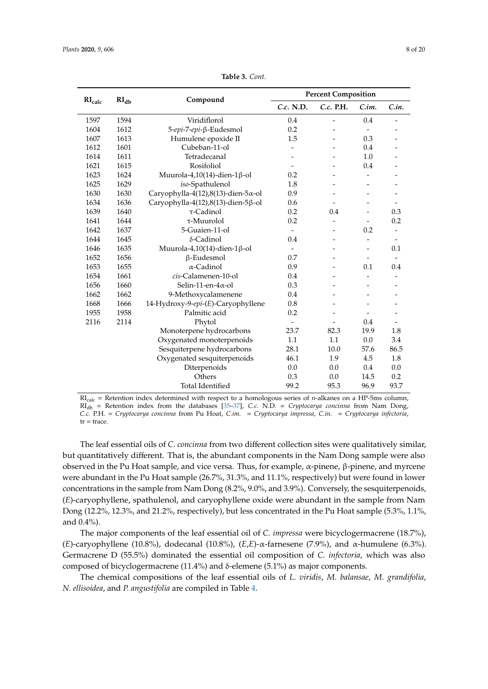| RI <sub>calc</sub> | RI <sub>db</sub> | Compound                                    |                          | <b>Percent Composition</b> |                          |                              |
|--------------------|------------------|---------------------------------------------|--------------------------|----------------------------|--------------------------|------------------------------|
|                    |                  |                                             | C.c. N.D.                | C.c. P.H.                  | C.in.                    | C.in.                        |
| 1597               | 1594             | Viridiflorol                                | 0.4                      | -                          | 0.4                      |                              |
| 1604               | 1612             | 5-epi-7-epi-β-Eudesmol                      | 0.2                      |                            | $\overline{\phantom{a}}$ |                              |
| 1607               | 1613             | Humulene epoxide II                         | 1.5                      |                            | 0.3                      |                              |
| 1612               | 1601             | Cubeban-11-ol                               |                          |                            | 0.4                      |                              |
| 1614               | 1611             | Tetradecanal                                |                          |                            | 1.0                      |                              |
| 1621               | 1615             | Rosifoliol                                  |                          |                            | 0.4                      |                              |
| 1623               | 1624             | Muurola-4,10(14)-dien-1β-ol                 | 0.2                      |                            |                          |                              |
| 1625               | 1629             | iso-Spathulenol                             | 1.8                      |                            | $\overline{a}$           |                              |
| 1630               | 1630             | Caryophylla-4(12),8(13)-dien-5 $\alpha$ -ol | 0.9                      |                            |                          |                              |
| 1634               | 1636             | Caryophylla-4(12),8(13)-dien-5 $\beta$ -ol  | 0.6                      |                            | $\overline{a}$           | $\qquad \qquad \blacksquare$ |
| 1639               | 1640             | $\tau$ -Cadinol                             | 0.2                      | 0.4                        |                          | 0.3                          |
| 1641               | 1644             | $\tau$ -Muurolol                            | 0.2                      |                            |                          | 0.2                          |
| 1642               | 1637             | 5-Guaien-11-ol                              |                          |                            | 0.2                      |                              |
| 1644               | 1645             | $\delta$ -Cadinol                           | 0.4                      |                            | $\overline{\phantom{m}}$ | $\overline{\phantom{a}}$     |
| 1646               | 1635             | Muurola-4,10(14)-dien-1β-ol                 | $\overline{\phantom{a}}$ |                            | $\overline{a}$           | 0.1                          |
| 1652               | 1656             | β-Eudesmol                                  | 0.7                      |                            | $\overline{\phantom{m}}$ | $\overline{\phantom{0}}$     |
| 1653               | 1655             | $\alpha$ -Cadinol                           | 0.9                      |                            | 0.1                      | 0.4                          |
| 1654               | 1661             | cis-Calamenen-10-ol                         | 0.4                      |                            |                          |                              |
| 1656               | 1660             | Selin-11-en-4 $\alpha$ -ol                  | 0.3                      |                            |                          |                              |
| 1662               | 1662             | 9-Methoxycalamenene                         | 0.4                      |                            |                          |                              |
| 1668               | 1666             | 14-Hydroxy-9-epi-(E)-Caryophyllene          | 0.8                      |                            |                          |                              |
| 1955               | 1958             | Palmitic acid                               | 0.2                      |                            | $\overline{\phantom{0}}$ |                              |
| 2116               | 2114             | Phytol                                      | $\overline{\phantom{a}}$ |                            | 0.4                      |                              |
|                    |                  | Monoterpene hydrocarbons                    | 23.7                     | 82.3                       | 19.9                     | 1.8                          |
|                    |                  | Oxygenated monoterpenoids                   | 1.1                      | 1.1                        | 0.0                      | 3.4                          |
|                    |                  | Sesquiterpene hydrocarbons                  | 28.1                     | 10.0                       | 57.6                     | 86.5                         |
|                    |                  | Oxygenated sesquiterpenoids                 | 46.1                     | 1.9                        | 4.5                      | 1.8                          |
|                    |                  | Diterpenoids                                | 0.0                      | 0.0                        | 0.4                      | 0.0                          |
|                    |                  | Others                                      | 0.3                      | 0.0                        | 14.5                     | 0.2                          |
|                    |                  | <b>Total Identified</b>                     | 99.2                     | 95.3                       | 96.9                     | 93.7                         |

**Table 3.** *Cont.*

RIcalc = Retention index determined with respect to a homologous series of *n*-alkanes on a HP-5ms column, RIdb = Retention index from the databases [\[35–](#page-17-13)[37\]](#page-17-14), *C.c.* N.D. = *Cryptocarya concinna* from Nam Dong, *C.c.* P.H. = *Cryptocarya concinna* from Pu Hoat, *C.im.* = *Cryptocarya impressa*, *C.in.* = *Cryptocarya infectoria*,  $tr = trace.$ 

The leaf essential oils of *C. concinna* from two different collection sites were qualitatively similar, but quantitatively different. That is, the abundant components in the Nam Dong sample were also observed in the Pu Hoat sample, and vice versa. Thus, for example, α-pinene, β-pinene, and myrcene were abundant in the Pu Hoat sample (26.7%, 31.3%, and 11.1%, respectively) but were found in lower concentrations in the sample from Nam Dong (8.2%, 9.0%, and 3.9%). Conversely, the sesquiterpenoids, (*E*)-caryophyllene, spathulenol, and caryophyllene oxide were abundant in the sample from Nam Dong (12.2%, 12.3%, and 21.2%, respectively), but less concentrated in the Pu Hoat sample (5.3%, 1.1%, and 0.4%).

The major components of the leaf essential oil of *C. impressa* were bicyclogermacrene (18.7%), (*E*)-caryophyllene (10.8%), dodecanal (10.8%), (*E*,*E*)-α-farnesene (7.9%), and α-humulene (6.3%). Germacrene D (55.5%) dominated the essential oil composition of *C. infectoria*, which was also composed of bicyclogermacrene (11.4%) and δ-elemene (5.1%) as major components.

The chemical compositions of the leaf essential oils of *L. viridis*, *M. balansae*, *M. grandifolia*, *N. ellisoidea*, and *P. angustifolia* are compiled in Table [4.](#page-8-0)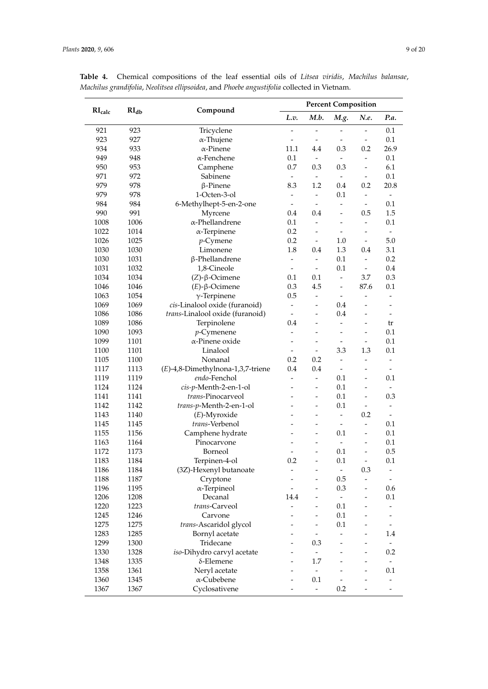|                    |                  | Compound                          | <b>Percent Composition</b> |                              |                              |                          |                              |
|--------------------|------------------|-----------------------------------|----------------------------|------------------------------|------------------------------|--------------------------|------------------------------|
| RI <sub>calc</sub> | RI <sub>db</sub> |                                   | L.v.                       | M.b.                         | M.g.                         | N.e.                     | P.a.                         |
| 921                | 923              | Tricyclene                        | -                          |                              | $\overline{\phantom{0}}$     |                          | 0.1                          |
| 923                | 927              | $\alpha$ -Thujene                 |                            | $\overline{\phantom{a}}$     | $\overline{\phantom{0}}$     |                          | 0.1                          |
| 934                | 933              | $\alpha$ -Pinene                  | 11.1                       | 4.4                          | 0.3                          | 0.2                      | 26.9                         |
| 949                | 948              | $\alpha$ -Fenchene                | 0.1                        | $\blacksquare$               | $\overline{a}$               | $\overline{\phantom{0}}$ | 0.1                          |
| 950                | 953              | Camphene                          | 0.7                        | 0.3                          | 0.3                          | $\overline{\phantom{0}}$ | 6.1                          |
| 971                | 972              | Sabinene                          | $\overline{\phantom{a}}$   | $\blacksquare$               | $\blacksquare$               | $\overline{\phantom{a}}$ | 0.1                          |
| 979                | 978              | $\beta$ -Pinene                   | 8.3                        | 1.2                          | 0.4                          | 0.2                      | 20.8                         |
| 979                | 978              | 1-Octen-3-ol                      | $\overline{\phantom{0}}$   | $\overline{\phantom{a}}$     | 0.1                          | ۰                        | $\overline{\phantom{a}}$     |
| 984                | 984              | 6-Methylhept-5-en-2-one           | $\omega$                   | $\overline{\phantom{a}}$     | $\overline{\phantom{0}}$     | $\blacksquare$           | 0.1                          |
| 990                | 991              | Myrcene                           | 0.4                        | 0.4                          | $\overline{a}$               | 0.5                      | 1.5                          |
| 1008               | 1006             | $\alpha$ -Phellandrene            | 0.1                        | $\overline{a}$               | $\overline{a}$               | $\overline{\phantom{a}}$ | 0.1                          |
| 1022               | 1014             | $\alpha$ -Terpinene               | 0.2                        | $\overline{a}$               | $\overline{\phantom{a}}$     |                          | $\omega$                     |
| 1026               | 1025             | $p$ -Cymene                       | 0.2                        | $\Box$                       | 1.0                          | $\overline{\phantom{a}}$ | 5.0                          |
| 1030               | 1030             | Limonene                          | 1.8                        | 0.4                          | 1.3                          | 0.4                      | 3.1                          |
| 1030               | 1031             | β-Phellandrene                    | $\overline{\phantom{0}}$   | $\overline{a}$               | 0.1                          |                          | 0.2                          |
| 1031               | 1032             | 1,8-Cineole                       | $\overline{\phantom{0}}$   | $\overline{\phantom{a}}$     | $0.1\,$                      | $\overline{\phantom{a}}$ | 0.4                          |
| 1034               | 1034             | $(Z)$ -β-Ocimene                  | 0.1                        | 0.1                          | $\overline{\phantom{a}}$     | 3.7                      | 0.3                          |
| 1046               | 1046             | $(E)$ -β-Ocimene                  | 0.3                        | 4.5                          | $\overline{a}$               | 87.6                     | 0.1                          |
| 1063               | 1054             | $\gamma$ -Terpinene               | 0.5                        | $\overline{a}$               | $\overline{a}$               | $\overline{a}$           |                              |
| 1069               | 1069             | cis-Linalool oxide (furanoid)     | $\overline{\phantom{0}}$   | $\overline{\phantom{a}}$     | 0.4                          | $\overline{a}$           |                              |
| 1086               | 1086             | trans-Linalool oxide (furanoid)   | $\frac{1}{2}$              | $\overline{\phantom{m}}$     | 0.4                          | $\overline{\phantom{0}}$ | $\overline{\phantom{a}}$     |
| 1089               | 1086             | Terpinolene                       | 0.4                        | $\overline{a}$               | -                            |                          | tr                           |
| 1090               | 1093             | $p$ -Cymenene                     | -                          | $\overline{a}$               | $\overline{\phantom{a}}$     |                          | 0.1                          |
| 1099               | 1101             | α-Pinene oxide                    | ٠                          | $\overline{\phantom{a}}$     | $\qquad \qquad \blacksquare$ | ÷                        | 0.1                          |
| 1100               | 1101             | Linalool                          |                            | $\overline{\phantom{0}}$     | 3.3                          | 1.3                      | 0.1                          |
| 1105               | 1100             | Nonanal                           | 0.2                        | 0.2                          | $\overline{a}$               | $\overline{a}$           | $\blacksquare$               |
| 1117               | 1113             | (E)-4,8-Dimethylnona-1,3,7-triene | 0.4                        | 0.4                          | $\blacksquare$               |                          | $\blacksquare$               |
| 1119               | 1119             | endo-Fenchol                      | $\overline{a}$             | $\frac{1}{2}$                | 0.1                          | $\overline{\phantom{0}}$ | 0.1                          |
| 1124               | 1124             | cis-p-Menth-2-en-1-ol             |                            | $\qquad \qquad \blacksquare$ | 0.1                          | -                        |                              |
| 1141               | 1141             | trans-Pinocarveol                 |                            | $\overline{a}$               | 0.1                          |                          | 0.3                          |
| 1142               | 1142             | trans-p-Menth-2-en-1-ol           | L                          | $\overline{a}$               | 0.1                          |                          | $\overline{\phantom{a}}$     |
| 1143               | 1140             | $(E)$ -Myroxide                   |                            | $\overline{a}$               | $\overline{a}$               | 0.2                      | $\sim$                       |
| 1145               | 1145             | trans-Verbenol                    |                            |                              | $\overline{a}$               |                          | 0.1                          |
| 1155               | 1156             | Camphene hydrate                  |                            | $\overline{a}$               | 0.1                          | $\overline{a}$           | 0.1                          |
| 1163               | 1164             | Pinocarvone                       |                            | -                            | $\overline{\phantom{0}}$     | $\overline{\phantom{0}}$ | 0.1                          |
| 1172               | 1173             | Borneol                           | $\overline{\phantom{0}}$   | $\overline{a}$               | 0.1                          |                          | 0.5                          |
| 1183               | 1184             | Terpinen-4-ol                     | 0.2                        |                              | 0.1                          |                          | 0.1                          |
| 1186               | 1184             | (3Z)-Hexenyl butanoate            |                            |                              | $\overline{\phantom{0}}$     | 0.3                      |                              |
| 1188               | 1187             | Cryptone                          |                            |                              | 0.5                          |                          |                              |
| 1196               | 1195             | $\alpha$ -Terpineol               |                            |                              | 0.3                          |                          | 0.6                          |
| 1206               | 1208             | Decanal                           | 14.4                       |                              | $\overline{a}$               |                          | 0.1                          |
| 1220               | 1223             | trans-Carveol                     |                            |                              | 0.1                          |                          |                              |
| 1245               | 1246             | Carvone                           |                            | $\overline{a}$               | $0.1\,$                      |                          |                              |
| 1275               | 1275             | trans-Ascaridol glycol            |                            |                              | $0.1\,$                      |                          |                              |
| 1283               | 1285             | Bornyl acetate                    |                            | $\qquad \qquad \blacksquare$ |                              |                          | 1.4                          |
| 1299               | 1300             | Tridecane                         |                            | 0.3                          |                              |                          |                              |
| 1330               | 1328             | iso-Dihydro carvyl acetate        |                            |                              |                              |                          | 0.2                          |
| 1348               | 1335             | $\delta$ -Elemene                 |                            | 1.7                          |                              |                          |                              |
| 1358               | 1361             | Neryl acetate                     |                            | $\blacksquare$               |                              |                          | 0.1                          |
| 1360               | 1345             | α-Cubebene                        |                            | 0.1                          | $\frac{1}{2}$                |                          | $\qquad \qquad \blacksquare$ |
| 1367               | 1367             | Cyclosativene                     |                            | $\omega$                     | 0.2                          |                          | $\qquad \qquad \blacksquare$ |
|                    |                  |                                   |                            |                              |                              |                          |                              |

<span id="page-8-0"></span>**Table 4.** Chemical compositions of the leaf essential oils of *Litsea viridis*, *Machilus balansae*, *Machilus grandifolia*, *Neolitsea ellipsoidea*, and *Phoebe angustifolia* collected in Vietnam.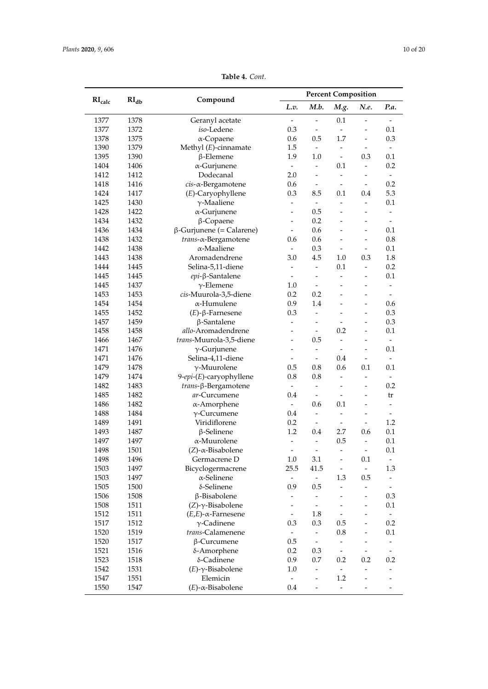| RI <sub>calc</sub> | RI <sub>db</sub> | Compound                                 |                          |                              | <b>Percent Composition</b>   |                          |                                           |
|--------------------|------------------|------------------------------------------|--------------------------|------------------------------|------------------------------|--------------------------|-------------------------------------------|
|                    |                  |                                          | L.v.                     | M.b.                         | M.g.                         | N.e.                     | P.a.                                      |
| 1377               | 1378             | Geranyl acetate                          | $\frac{1}{2}$            | $\overline{a}$               | 0.1                          | $\overline{a}$           | $\overline{\phantom{a}}$                  |
| 1377               | 1372             | iso-Ledene                               | 0.3                      | $\blacksquare$               | $\omega$                     | $\overline{\phantom{0}}$ | 0.1                                       |
| 1378               | 1375             | $\alpha$ -Copaene                        | 0.6                      | 0.5                          | 1.7                          | $\overline{\phantom{m}}$ | 0.3                                       |
| 1390               | 1379             | Methyl $(E)$ -cinnamate                  | 1.5                      | $\blacksquare$               | $\overline{\phantom{a}}$     | $\overline{a}$           | $\overline{\phantom{a}}$                  |
| 1395               | 1390             | $\beta$ -Elemene                         | 1.9                      | 1.0                          | $\overline{\phantom{a}}$     | 0.3                      | 0.1                                       |
| 1404               | 1406             | $\alpha$ -Gurjunene                      | $\overline{\phantom{a}}$ | $\overline{\phantom{a}}$     | 0.1                          | $\overline{\phantom{a}}$ | 0.2                                       |
| 1412               | 1412             | Dodecanal                                | 2.0                      | $\overline{a}$               | $\overline{\phantom{a}}$     |                          | $\overline{\phantom{a}}$                  |
| 1418               | 1416             | $cis$ - $\alpha$ -Bergamotene            | 0.6                      | $\overline{\phantom{a}}$     | $\overline{a}$               |                          | 0.2                                       |
| 1424               | 1417             | (E)-Caryophyllene                        | 0.3                      | 8.5                          | 0.1                          | 0.4                      | 5.3                                       |
| 1425               | 1430             | $\gamma$ -Maaliene                       | $\blacksquare$           | $\overline{\phantom{a}}$     | $\frac{1}{2}$                | -                        | 0.1                                       |
| 1428               | 1422             | $\alpha$ -Gurjunene                      | $\overline{\phantom{0}}$ | 0.5                          | $\overline{a}$               |                          |                                           |
| 1434               | 1432             | $\beta$ -Copaene                         | $\overline{a}$           | 0.2                          |                              | L,                       | $\overline{\phantom{a}}$                  |
| 1436               | 1434             | $\beta$ -Gurjunene (= Calarene)          | $\overline{\phantom{a}}$ | 0.6                          | $\overline{a}$               | $\overline{a}$           | 0.1                                       |
| 1438               | 1432             | trans-α-Bergamotene                      | 0.6                      | 0.6                          |                              | $\overline{a}$           | 0.8                                       |
| 1442               | 1438             | $\alpha$ -Maaliene                       | $\overline{\phantom{a}}$ | 0.3                          | $\overline{a}$               | $\overline{a}$           | 0.1                                       |
| 1443               | 1438             | Aromadendrene                            | 3.0                      | 4.5                          | 1.0                          | 0.3                      | 1.8                                       |
| 1444               | 1445             | Selina-5,11-diene                        | $\blacksquare$           | $\blacksquare$               | 0.1                          | $\overline{\phantom{a}}$ | 0.2                                       |
| 1445               | 1445             | epi-β-Santalene                          |                          | $\overline{a}$               | $\overline{\phantom{a}}$     | -                        | 0.1                                       |
| 1445               | 1437             | $\gamma$ -Elemene                        | $1.0\,$                  | $\overline{\phantom{a}}$     |                              | $\overline{a}$           | $\overline{\phantom{a}}$                  |
| 1453               | 1453             | cis-Muurola-3,5-diene                    | 0.2                      | 0.2                          |                              |                          |                                           |
| 1454               | 1454             | α-Humulene                               | 0.9                      | 1.4                          |                              | $\overline{a}$           | 0.6                                       |
| 1455               | 1452             | $(E)$ - $\beta$ -Farnesene               | 0.3                      | $\frac{1}{2}$                |                              | L,                       | 0.3                                       |
| 1457               | 1459             | $\beta$ -Santalene                       | $\overline{a}$           |                              |                              | L,                       | 0.3                                       |
| 1458               | 1458             | allo-Aromadendrene                       | $\overline{\phantom{0}}$ | $\overline{\phantom{a}}$     | 0.2                          | -                        | 0.1                                       |
| 1466               | 1467             | trans-Muurola-3,5-diene                  | $\overline{\phantom{a}}$ | 0.5                          | $\overline{a}$               | $\overline{a}$           | $\overline{\phantom{a}}$                  |
| 1471               | 1476             | $\gamma$ -Gurjunene                      | $\overline{a}$           | $\qquad \qquad \blacksquare$ | $\overline{a}$               |                          | 0.1                                       |
| 1471               | 1476             | Selina-4,11-diene                        | $\overline{\phantom{0}}$ | $\frac{1}{2}$                | 0.4                          |                          | $\overline{\phantom{a}}$                  |
| 1479               | 1478             | $\gamma$ -Muurolene                      | 0.5                      | 0.8                          | 0.6                          | 0.1                      | 0.1                                       |
| 1479               | 1474             | 9-epi-(E)-caryophyllene                  | 0.8                      | $0.8\,$                      | $\overline{a}$               | $\overline{a}$           | $\overline{\phantom{a}}$                  |
| 1482               | 1483             | <i>trans</i> -β-Bergamotene              | $\equiv$                 | $\overline{\phantom{a}}$     | $\overline{a}$               | $\overline{a}$           | 0.2                                       |
| 1485               | 1482             | ar-Curcumene                             | 0.4                      | $\overline{\phantom{a}}$     | $\overline{\phantom{a}}$     | $\overline{a}$           | tr                                        |
| 1486               | 1482             | $\alpha$ -Amorphene                      | $\equiv$                 | 0.6                          | 0.1                          | $\overline{\phantom{a}}$ | $\overline{\phantom{a}}$                  |
| 1488               | 1484             | $\gamma$ -Curcumene                      | 0.4                      | $\blacksquare$               | $\frac{1}{2}$                | -                        | $\overline{\phantom{a}}$                  |
| 1489               | 1491             | Viridiflorene                            | 0.2                      | $\overline{\phantom{a}}$     | $\overline{a}$               | $\overline{a}$           | 1.2                                       |
| 1493               | 1487             | $\beta$ -Selinene                        | 1.2                      | 0.4                          | 2.7                          | 0.6                      | 0.1                                       |
| 1497               | 1497             | α-Muurolene                              | $\overline{a}$           | $\overline{a}$               | 0.5                          | $\overline{a}$           | 0.1                                       |
| 1498               | 1501             | $(Z)$ - $\alpha$ -Bisabolene             |                          |                              |                              |                          | 0.1                                       |
| 1498               | 1496             | Germacrene D                             | 1.0                      | 3.1                          | $\overline{\phantom{m}}$     | 0.1                      | $\overline{\phantom{a}}$                  |
| 1503               | 1497             | Bicyclogermacrene                        | 25.5                     | 41.5                         | $\qquad \qquad \blacksquare$ | $\overline{\phantom{a}}$ | 1.3                                       |
| 1503               | 1497             | $\alpha$ -Selinene                       | $\blacksquare$           | $\frac{1}{2}$                | 1.3                          | 0.5                      | $\overline{\phantom{0}}$                  |
| 1505               | 1500             | δ-Selinene                               | 0.9                      | 0.5                          |                              |                          |                                           |
| 1506               | 1508             | β-Bisabolene                             | -                        | $\frac{1}{2}$                |                              |                          | 0.3                                       |
| 1508               | 1511             | $(Z)$ - $\gamma$ -Bisabolene             | -                        | $\qquad \qquad \blacksquare$ |                              |                          | 0.1                                       |
| 1512               | 1511             | $(E,E)$ - $\alpha$ -Farnesene            | $\frac{1}{2}$            | 1.8                          |                              |                          | $\overline{\phantom{a}}$                  |
| 1517               | 1512             | $\gamma$ -Cadinene                       | 0.3                      | 0.3                          | 0.5                          |                          | 0.2                                       |
| 1520               | 1519             | trans-Calamenene                         | $\frac{1}{2}$            | ÷,                           | 0.8                          | $\overline{\phantom{0}}$ | 0.1                                       |
| 1520               | 1517             | $\beta$ -Curcumene                       | 0.5                      | $\overline{\phantom{a}}$     | $\blacksquare$               | $\overline{\phantom{0}}$ | $\overline{\phantom{a}}$                  |
| 1521               | 1516             | δ-Amorphene                              | 0.2                      | 0.3                          | $\overline{\phantom{a}}$     |                          | $\overline{\phantom{a}}$                  |
| 1523               |                  |                                          |                          |                              |                              |                          | 0.2                                       |
|                    | 1518             | δ-Cadinene                               | 0.9                      | 0.7                          | 0.2<br>$\blacksquare$        | 0.2<br>-                 |                                           |
| 1542               | 1531             | $(E)$ - $\gamma$ -Bisabolene<br>Elemicin | 1.0                      | $\overline{\phantom{0}}$     | 1.2                          |                          |                                           |
| 1547<br>1550       | 1551<br>1547     | $(E)$ - $\alpha$ -Bisabolene             | $\sim$<br>0.4            | $\overline{\phantom{m}}$     | $\overline{a}$               |                          | $\overline{\phantom{a}}$<br>$\frac{1}{2}$ |

**Table 4.** *Cont.*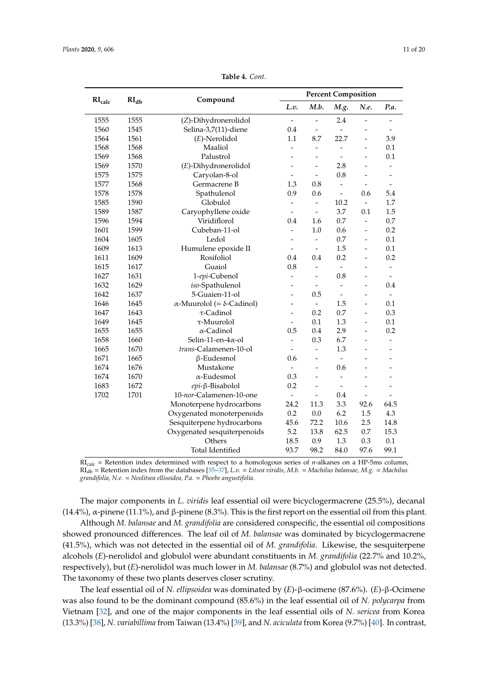|                    | $\mathbf{RI}_{\mathbf{db}}$ | Compound                                 |                          |                              | <b>Percent Composition</b> |                          |                          |
|--------------------|-----------------------------|------------------------------------------|--------------------------|------------------------------|----------------------------|--------------------------|--------------------------|
| RI <sub>calc</sub> |                             |                                          | L.v.                     | M.b.                         | M.g.                       | N.e.                     | P.a.                     |
| 1555               | 1555                        | (Z)-Dihydronerolidol                     | $\overline{\phantom{0}}$ | $\overline{a}$               | 2.4                        | -                        |                          |
| 1560               | 1545                        | Selina-3,7(11)-diene                     | 0.4                      | $\overline{a}$               | $\overline{a}$             |                          |                          |
| 1564               | 1561                        | $(E)$ -Nerolidol                         | 1.1                      | 8.7                          | 22.7                       | -                        | 3.9                      |
| 1568               | 1568                        | Maaliol                                  | $\frac{1}{2}$            | $\qquad \qquad \blacksquare$ | $\overline{a}$             | -                        | 0.1                      |
| 1569               | 1568                        | Palustrol                                | $\overline{a}$           | $\overline{\phantom{0}}$     | $\overline{\phantom{a}}$   | $\overline{a}$           | 0.1                      |
| 1569               | 1570                        | (E)-Dihydronerolidol                     |                          | $\overline{a}$               | 2.8                        |                          |                          |
| 1575               | 1575                        | Caryolan-8-ol                            | $\overline{\phantom{0}}$ | $\qquad \qquad \blacksquare$ | 0.8                        | $\overline{\phantom{0}}$ | $\overline{\phantom{0}}$ |
| 1577               | 1568                        | Germacrene B                             | 1.3                      | 0.8                          | $\overline{a}$             |                          |                          |
| 1578               | 1578                        | Spathulenol                              | 0.9                      | 0.6                          | $\frac{1}{2}$              | 0.6                      | 5.4                      |
| 1585               | 1590                        | Globulol                                 | $\overline{a}$           | $\overline{a}$               | 10.2                       | $\overline{a}$           | 1.7                      |
| 1589               | 1587                        | Caryophyllene oxide                      | $\overline{\phantom{a}}$ | $\blacksquare$               | 3.7                        | 0.1                      | 1.5                      |
| 1596               | 1594                        | Viridiflorol                             | 0.4                      | 1.6                          | 0.7                        | $\overline{\phantom{0}}$ | 0.7                      |
| 1601               | 1599                        | Cubeban-11-ol                            | $\overline{a}$           | 1.0                          | 0.6                        | L,                       | 0.2                      |
| 1604               | 1605                        | Ledol                                    | -                        | $\frac{1}{2}$                | 0.7                        | -                        | 0.1                      |
| 1609               | 1613                        | Humulene epoxide II                      | $\overline{a}$           | $\overline{\phantom{a}}$     | 1.5                        | $\overline{a}$           | 0.1                      |
| 1611               | 1609                        | Rosifoliol                               | 0.4                      | 0.4                          | 0.2                        | -                        | 0.2                      |
| 1615               | 1617                        | Guaiol                                   | 0.8                      | $\overline{a}$               | $\overline{a}$             | ۳                        | $\overline{a}$           |
| 1627               | 1631                        | 1-epi-Cubenol                            | $\overline{\phantom{0}}$ | $\overline{\phantom{m}}$     | 0.8                        | -                        | $\overline{\phantom{a}}$ |
| 1632               | 1629                        | iso-Spathulenol                          | $\overline{a}$           | $\overline{\phantom{m}}$     | $\overline{a}$             | $\overline{a}$           | 0.4                      |
| 1642               | 1637                        | 5-Guaien-11-ol                           | $\overline{a}$           | 0.5                          |                            |                          | $\overline{a}$           |
| 1646               | 1645                        | $\alpha$ -Muurolol (= $\delta$ -Cadinol) | $\overline{a}$           | $\frac{1}{2}$                | 1.5                        | -                        | 0.1                      |
| 1647               | 1643                        | τ-Cadinol                                | $\overline{a}$           | 0.2                          | 0.7                        | $\overline{a}$           | 0.3                      |
| 1649               | 1645                        | $\tau$ -Muurolol                         | $\overline{\phantom{0}}$ | 0.1                          | 1.3                        | $\overline{a}$           | 0.1                      |
| 1655               | 1655                        | $\alpha$ -Cadinol                        | 0.5                      | 0.4                          | 2.9                        | L,                       | 0.2                      |
| 1658               | 1660                        | Selin-11-en- $4\alpha$ -ol               | $\frac{1}{2}$            | 0.3                          | 6.7                        |                          |                          |
| 1665               | 1670                        | trans-Calamenen-10-ol                    | $\overline{\phantom{a}}$ | $\overline{\phantom{0}}$     | 1.3                        | $\overline{\phantom{0}}$ | $\overline{a}$           |
| 1671               | 1665                        | $\beta$ -Eudesmol                        | 0.6                      | $\overline{\phantom{0}}$     | $\overline{a}$             |                          |                          |
| 1674               | 1676                        | Mustakone                                |                          | $\overline{a}$               | 0.6                        |                          |                          |
| 1674               | 1670                        | $\alpha$ -Eudesmol                       | 0.3                      | $\overline{a}$               | $\overline{a}$             | L.                       | L.                       |
| 1683               | 1672                        | epi-β-Bisabolol                          | 0.2                      | $\overline{a}$               |                            |                          |                          |
| 1702               | 1701                        | 10-nor-Calamenen-10-one                  | $\overline{a}$           | $\overline{a}$               | 0.4                        | $\overline{a}$           |                          |
|                    |                             | Monoterpene hydrocarbons                 | 24.2                     | 11.3                         | 3.3                        | 92.6                     | 64.5                     |
|                    |                             | Oxygenated monoterpenoids                | 0.2                      | 0.0                          | 6.2                        | 1.5                      | 4.3                      |
|                    |                             | Sesquiterpene hydrocarbons               | 45.6                     | 72.2                         | 10.6                       | 2.5                      | 14.8                     |
|                    |                             | Oxygenated sesquiterpenoids              | 5.2                      | 13.8                         | 62.5                       | 0.7                      | 15.3                     |
|                    |                             | Others                                   | 18.5                     | 0.9                          | 1.3                        | 0.3                      | 0.1                      |
|                    |                             | <b>Total Identified</b>                  | 93.7                     | 98.2                         | 84.0                       | 97.6                     | 99.1                     |

**Table 4.** *Cont.*

RIcalc = Retention index determined with respect to a homologous series of *n*-alkanes on a HP-5ms column, RIdb = Retention index from the databases [\[35](#page-17-13)[–37\]](#page-17-14), *L.v.* = *Litsea viridis, M.b.* = *Machilus balansae, M.g.* = *Machilus grandifolia, N.e.* = *Neolitsea ellisoidea, P.a.* = *Phoebe angustifolia*.

The major components in *L. viridis* leaf essential oil were bicyclogermacrene (25.5%), decanal (14.4%), α-pinene (11.1%), and β-pinene (8.3%). This is the first report on the essential oil from this plant.

Although *M. balansae* and *M. grandifolia* are considered conspecific, the essential oil compositions showed pronounced differences. The leaf oil of *M. balansae* was dominated by bicyclogermacrene (41.5%), which was not detected in the essential oil of *M. grandifolia*. Likewise, the sesquiterpene alcohols (*E*)-nerolidol and globulol were abundant constituents in *M. grandifolia* (22.7% and 10.2%, respectively), but (*E*)-nerolidol was much lower in *M. balansae* (8.7%) and globulol was not detected. The taxonomy of these two plants deserves closer scrutiny.

The leaf essential oil of *N. ellipsoidea* was dominated by (*E*)-β-ocimene (87.6%). (*E*)-β-Ocimene was also found to be the dominant compound (85.6%) in the leaf essential oil of *N. polycarpa* from Vietnam [\[32\]](#page-17-10), and one of the major components in the leaf essential oils of *N. sericea* from Korea (13.3%) [\[38\]](#page-17-15), *N. variabillima* from Taiwan (13.4%) [\[39\]](#page-17-16), and *N. aciculata* from Korea (9.7%) [\[40\]](#page-17-17). In contrast,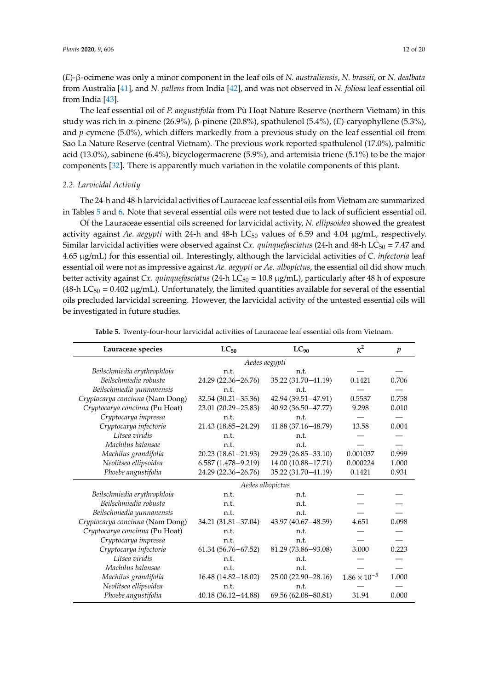(*E*)-β-ocimene was only a minor component in the leaf oils of *N. australiensis*, *N. brassii*, or *N. dealbata* from Australia [\[41\]](#page-17-18), and *N. pallens* from India [\[42\]](#page-17-19), and was not observed in *N. foliosa* leaf essential oil from India [\[43\]](#page-17-20).

The leaf essential oil of *P. angustifolia* from Pù Hoạt Nature Reserve (northern Vietnam) in this study was rich in α-pinene (26.9%), β-pinene (20.8%), spathulenol (5.4%), (*E*)-caryophyllene (5.3%), and *p*-cymene (5.0%), which differs markedly from a previous study on the leaf essential oil from Sao La Nature Reserve (central Vietnam). The previous work reported spathulenol (17.0%), palmitic acid (13.0%), sabinene (6.4%), bicyclogermacrene (5.9%), and artemisia triene (5.1%) to be the major components [\[32\]](#page-17-10). There is apparently much variation in the volatile components of this plant.

# *2.2. Larvicidal Activity*

The 24-h and 48-h larvicidal activities of Lauraceae leaf essential oils from Vietnam are summarized in Tables [5](#page-11-0) and [6.](#page-12-0) Note that several essential oils were not tested due to lack of sufficient essential oil.

Of the Lauraceae essential oils screened for larvicidal activity, *N. ellipsoidea* showed the greatest activity against *Ae. aegypti* with 24-h and 48-h LC<sub>50</sub> values of 6.59 and 4.04 µg/mL, respectively. Similar larvicidal activities were observed against *Cx. quinquefasciatus* (24-h and 48-h LC<sub>50</sub> = 7.47 and 4.65 µg/mL) for this essential oil. Interestingly, although the larvicidal activities of *C. infectoria* leaf essential oil were not as impressive against *Ae. aegypti* or *Ae. albopictus*, the essential oil did show much better activity against *Cx. quinquefasciatus* (24-h LC<sub>50</sub> = 10.8 µg/mL), particularly after 48 h of exposure (48-h LC<sub>50</sub> = 0.402  $\mu$ g/mL). Unfortunately, the limited quantities available for several of the essential oils precluded larvicidal screening. However, the larvicidal activity of the untested essential oils will be investigated in future studies.

<span id="page-11-0"></span>

| Lauraceae species               | $LC_{50}$              | $LC_{90}$              | $\chi^2$              | $\boldsymbol{p}$ |
|---------------------------------|------------------------|------------------------|-----------------------|------------------|
|                                 |                        | Aedes aegypti          |                       |                  |
| Beilschmiedia erythrophloia     | n.t.                   | n.t.                   |                       |                  |
| Beilschmiedia robusta           | 24.29 (22.36-26.76)    | 35.22 (31.70 - 41.19)  | 0.1421                | 0.706            |
| Beilschmiedia yunnanensis       | n.t.                   | n.t.                   |                       |                  |
| Cryptocarya concinna (Nam Dong) | $32.54(30.21 - 35.36)$ | 42.94 (39.51-47.91)    | 0.5537                | 0.758            |
| Cryptocarya concinna (Pu Hoat)  | 23.01 (20.29 - 25.83)  | $40.92(36.50 - 47.77)$ | 9.298                 | 0.010            |
| Cryptocarya impressa            | n.t.                   | n.t.                   |                       |                  |
| Cryptocarya infectoria          | 21.43 (18.85-24.29)    | 41.88 (37.16-48.79)    | 13.58                 | 0.004            |
| Litsea viridis                  | n.t.                   | n.t.                   |                       |                  |
| Machilus balansae               | n.t.                   | n.t.                   |                       |                  |
| Machilus grandifolia            | $20.23(18.61 - 21.93)$ | 29.29 (26.85-33.10)    | 0.001037              | 0.999            |
| Neolitsea ellipsoidea           | $6.587(1.478 - 9.219)$ | 14.00 (10.88-17.71)    | 0.000224              | 1.000            |
| Phoebe angustifolia             | 24.29 (22.36-26.76)    | 35.22 (31.70-41.19)    | 0.1421                | 0.931            |
|                                 |                        | Aedes albopictus       |                       |                  |
| Beilschmiedia erythrophloia     | n.t.                   | n.t.                   |                       |                  |
| Beilschmiedia robusta           | n.t.                   | n.t.                   |                       |                  |
| Beilschmiedia yunnanensis       | n.t.                   | n.t.                   |                       |                  |
| Cryptocarya concinna (Nam Dong) | 34.21 (31.81-37.04)    | 43.97 (40.67-48.59)    | 4.651                 | 0.098            |
| Cryptocarya concinna (Pu Hoat)  | n.t.                   | n.t.                   |                       |                  |
| Cryptocarya impressa            | n.t.                   | n.t.                   |                       |                  |
| Cryptocarya infectoria          | $61.34(56.76 - 67.52)$ | 81.29 (73.86-93.08)    | 3.000                 | 0.223            |
| Litsea viridis                  | n.t.                   | n.t.                   |                       |                  |
| Machilus balansae               | n.t.                   | n.t.                   |                       |                  |
| Machilus grandifolia            | 16.48 (14.82-18.02)    | 25.00 (22.90 - 28.16)  | $1.86 \times 10^{-5}$ | 1.000            |
| Neolitsea ellipsoidea           | n.t.                   | n.t.                   |                       |                  |
| Phoebe angustifolia             | 40.18 (36.12-44.88)    | 69.56 (62.08-80.81)    | 31.94                 | 0.000            |

**Table 5.** Twenty-four-hour larvicidal activities of Lauraceae leaf essential oils from Vietnam.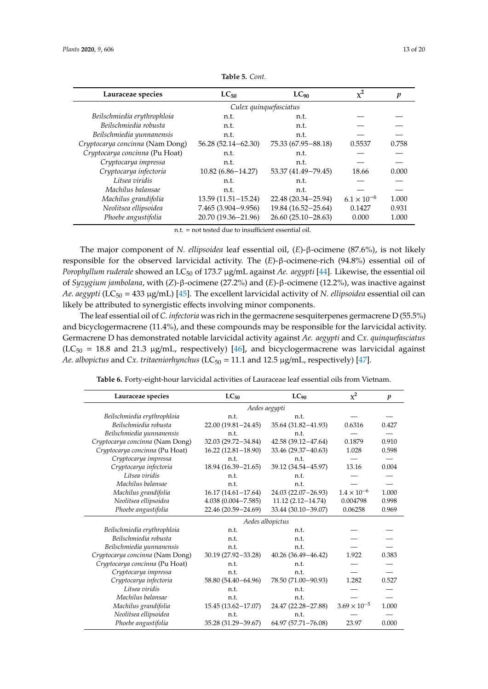| Lauraceae species               | $LC_{50}$              | LC <sub>90</sub>       | $\chi^2$             | p     |  |  |  |  |
|---------------------------------|------------------------|------------------------|----------------------|-------|--|--|--|--|
|                                 |                        | Culex quinquefasciatus |                      |       |  |  |  |  |
| Beilschmiedia erythrophloia     | n.t.                   | n.t.                   |                      |       |  |  |  |  |
| Beilschmiedia robusta           | n.t.                   | n.t.                   |                      |       |  |  |  |  |
| Beilschmiedia yunnanensis       | n.t.                   | n.t.                   |                      |       |  |  |  |  |
| Cryptocarya concinna (Nam Dong) | $56.28(52.14 - 62.30)$ | 75.33 (67.95 - 88.18)  | 0.5537               | 0.758 |  |  |  |  |
| Cryptocarya concinna (Pu Hoat)  | n.t.                   | n.t.                   |                      |       |  |  |  |  |
| Cryptocarya impressa            | n.t.                   | n.t.                   |                      |       |  |  |  |  |
| Cryptocarya infectoria          | $10.82(6.86 - 14.27)$  | 53.37 (41.49-79.45)    | 18.66                | 0.000 |  |  |  |  |
| Litsea viridis                  | n.t.                   | n.t.                   |                      |       |  |  |  |  |
| Machilus balansae               | n.t.                   | n.t.                   |                      |       |  |  |  |  |
| Machilus grandifolia            | $13.59(11.51 - 15.24)$ | 22.48 (20.34 - 25.94)  | $6.1 \times 10^{-6}$ | 1.000 |  |  |  |  |
| Neolitsea ellipsoidea           | $7.465(3.904 - 9.956)$ | 19.84 (16.52 - 25.64)  | 0.1427               | 0.931 |  |  |  |  |
| Phoebe angustifolia             | 20.70 (19.36-21.96)    | $26.60(25.10-28.63)$   | 0.000                | 1.000 |  |  |  |  |

**Table 5.** *Cont.*

n.t. = not tested due to insufficient essential oil.

The major component of *N. ellipsoidea* leaf essential oil, (*E*)-β-ocimene (87.6%), is not likely responsible for the observed larvicidal activity. The (*E*)-β-ocimene-rich (94.8%) essential oil of *Porophyllum ruderale* showed an LC<sup>50</sup> of 173.7 µg/mL against *Ae. aegypti* [\[44\]](#page-18-0). Likewise, the essential oil of *Syzygium jambolana*, with (*Z*)-β-ocimene (27.2%) and (*E*)-β-ocimene (12.2%), was inactive against *Ae. aegypti* (LC<sup>50</sup> = 433 µg/mL) [\[45\]](#page-18-1). The excellent larvicidal activity of *N. ellipsoidea* essential oil can likely be attributed to synergistic effects involving minor components.

The leaf essential oil of *C. infectoria* was rich in the germacrene sesquiterpenes germacrene D (55.5%) and bicyclogermacrene (11.4%), and these compounds may be responsible for the larvicidal activity. Germacrene D has demonstrated notable larvicidal activity against *Ae. aegypti* and *Cx. quinquefasciatus* ( $LC_{50}$  = 18.8 and 21.3 µg/mL, respectively) [\[46\]](#page-18-2), and bicyclogermacrene was larvicidal against *Ae. albopictus* and *Cx. tritaeniorhynchus* (LC<sub>50</sub> = 11.1 and 12.5 μg/mL, respectively) [\[47\]](#page-18-3).

| Table 6. Forty-eight-hour larvicidal activities of Lauraceae leaf essential oils from Vietnam. |  |  |  |  |  |  |
|------------------------------------------------------------------------------------------------|--|--|--|--|--|--|
|------------------------------------------------------------------------------------------------|--|--|--|--|--|--|

<span id="page-12-0"></span>

| Lauraceae species               | $LC_{50}$              | $LC_{90}$              | $x^2$                 | $\boldsymbol{p}$ |  |  |  |
|---------------------------------|------------------------|------------------------|-----------------------|------------------|--|--|--|
|                                 | Aedes aegypti          |                        |                       |                  |  |  |  |
| Beilschmiedia erythrophloia     | n.t.                   | n.t.                   |                       |                  |  |  |  |
| Beilschmiedia robusta           | 22.00 (19.81-24.45)    | 35.64 (31.82-41.93)    | 0.6316                | 0.427            |  |  |  |
| Beilschmiedia yunnanensis       | n.t.                   | n.t.                   |                       |                  |  |  |  |
| Cryptocarya concinna (Nam Dong) | 32.03 (29.72-34.84)    | 42.58 (39.12-47.64)    | 0.1879                | 0.910            |  |  |  |
| Cryptocarya concinna (Pu Hoat)  | $16.22(12.81-18.90)$   | 33.46 (29.37-40.63)    | 1.028                 | 0.598            |  |  |  |
| Cryptocarya impressa            | n.t.                   | n.t.                   |                       |                  |  |  |  |
| Cryptocarya infectoria          | 18.94 (16.39 - 21.65)  | 39.12 (34.54-45.97)    | 13.16                 | 0.004            |  |  |  |
| Litsea viridis                  | n.t.                   | n.t.                   |                       |                  |  |  |  |
| Machilus balansae               | n.t.                   | n.t.                   |                       |                  |  |  |  |
| Machilus grandifolia            | $16.17(14.61 - 17.64)$ | 24.03 (22.07-26.93)    | $1.4 \times 10^{-6}$  | 1.000            |  |  |  |
| Neolitsea ellipsoidea           | $4.038(0.004 - 7.585)$ | $11.12(2.12 - 14.74)$  | 0.004798              | 0.998            |  |  |  |
| Phoebe angustifolia             | 22.46 (20.59 - 24.69)  | 33.44 (30.10-39.07)    | 0.06258               | 0.969            |  |  |  |
|                                 |                        | Aedes albopictus       |                       |                  |  |  |  |
| Beilschmiedia erythrophloia     | n.t.                   | n.t.                   |                       |                  |  |  |  |
| Beilschmiedia robusta           | n.t.                   | n.t.                   |                       |                  |  |  |  |
| Beilschmiedia yunnanensis       | n.t.                   | n.t.                   |                       |                  |  |  |  |
| Cryptocarya concinna (Nam Dong) | 30.19 (27.92-33.28)    | $40.26(36.49 - 46.42)$ | 1.922                 | 0.383            |  |  |  |
| Cryptocarya concinna (Pu Hoat)  | n.t.                   | n.t.                   |                       |                  |  |  |  |
| Cryptocarya impressa            | n.t.                   | n.t.                   |                       |                  |  |  |  |
| Cryptocarya infectoria          | 58.80 (54.40-64.96)    | 78.50 (71.00-90.93)    | 1.282                 | 0.527            |  |  |  |
| Litsea viridis                  | n.t.                   | n.t.                   |                       |                  |  |  |  |
| Machilus balansae               | n.t.                   | n.t.                   |                       |                  |  |  |  |
| Machilus grandifolia            | 15.45 (13.62-17.07)    | 24.47 (22.28-27.88)    | $3.69 \times 10^{-5}$ | 1.000            |  |  |  |
| Neolitsea ellipsoidea           | n.t.                   | n.t.                   |                       |                  |  |  |  |
| Phoebe angustifolia             | 35.28 (31.29-39.67)    | 64.97 (57.71-76.08)    | 23.97                 | 0.000            |  |  |  |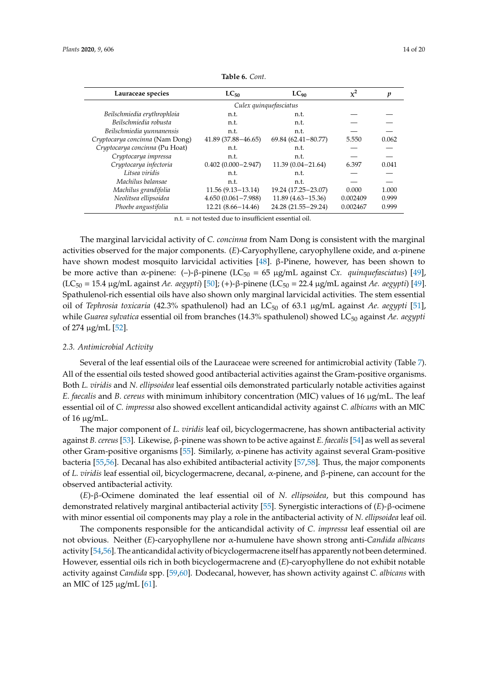| Lauraceae species               | $LC_{50}$              | $LC_{90}$              | $\chi^2$ | p     |
|---------------------------------|------------------------|------------------------|----------|-------|
|                                 | Culex quinquefasciatus |                        |          |       |
| Beilschmiedia erythrophloia     | n.t.                   | n.t.                   |          |       |
| Beilschmiedia robusta           | n.t.                   | n.t.                   |          |       |
| Beilschmiedia yunnanensis       | n.t.                   | n.t.                   |          |       |
| Cryptocarya concinna (Nam Dong) | $41.89(37.88 - 46.65)$ | $69.84(62.41 - 80.77)$ | 5.550    | 0.062 |
| Cryptocarya concinna (Pu Hoat)  | n.t.                   | n.t.                   |          |       |
| Cryptocarya impressa            | n.t.                   | n.t.                   |          |       |
| Cryptocarya infectoria          | $0.402(0.000 - 2.947)$ | $11.39(0.04 - 21.64)$  | 6.397    | 0.041 |
| Litsea viridis                  | n.t.                   | n.t.                   |          |       |
| Machilus balansae               | n.t.                   | n.t.                   |          |       |
| Machilus grandifolia            | $11.56(9.13-13.14)$    | 19.24 (17.25 - 23.07)  | 0.000    | 1.000 |
| Neolitsea ellipsoidea           | $4.650(0.061 - 7.988)$ | $11.89(4.63 - 15.36)$  | 0.002409 | 0.999 |
| Phoebe angustifolia             | 12.21 (8.66-14.46)     | 24.28 (21.55-29.24)    | 0.002467 | 0.999 |
|                                 |                        |                        |          |       |

**Table 6.** *Cont.*

n.t. = not tested due to insufficient essential oil.

The marginal larvicidal activity of *C. concinna* from Nam Dong is consistent with the marginal activities observed for the major components. (*E*)-Caryophyllene, caryophyllene oxide, and α-pinene have shown modest mosquito larvicidal activities [\[48\]](#page-18-4). β-Pinene, however, has been shown to be more active than α-pinene: (–)-β-pinene (LC<sup>50</sup> = 65 µg/mL against *Cx. quinquefasciatus*) [\[49\]](#page-18-5), (LC<sup>50</sup> = 15.4 µg/mL against *Ae. aegypti*) [\[50\]](#page-18-6); (+)-β-pinene (LC<sup>50</sup> = 22.4 µg/mL against *Ae. aegypti*) [\[49\]](#page-18-5). Spathulenol-rich essential oils have also shown only marginal larvicidal activities. The stem essential oil of *Tephrosia toxicaria* (42.3% spathulenol) had an LC<sup>50</sup> of 63.1 µg/mL against *Ae. aegypti* [\[51\]](#page-18-7), while *Guarea sylvatica* essential oil from branches (14.3% spathulenol) showed LC<sub>50</sub> against *Ae. aegypti* of 274 µg/mL [\[52\]](#page-18-8).

#### *2.3. Antimicrobial Activity*

Several of the leaf essential oils of the Lauraceae were screened for antimicrobial activity (Table [7\)](#page-14-0). All of the essential oils tested showed good antibacterial activities against the Gram-positive organisms. Both *L. viridis* and *N. ellipsoidea* leaf essential oils demonstrated particularly notable activities against *E. faecalis* and *B. cereus* with minimum inhibitory concentration (MIC) values of 16 µg/mL. The leaf essential oil of *C. impressa* also showed excellent anticandidal activity against *C. albicans* with an MIC of 16  $\mu$ g/mL.

The major component of *L. viridis* leaf oil, bicyclogermacrene, has shown antibacterial activity against *B. cereus* [\[53\]](#page-18-9). Likewise, β-pinene was shown to be active against *E. faecalis* [\[54\]](#page-18-10) as well as several other Gram-positive organisms [\[55\]](#page-18-11). Similarly, α-pinene has activity against several Gram-positive bacteria [\[55](#page-18-11)[,56\]](#page-18-12). Decanal has also exhibited antibacterial activity [\[57](#page-18-13)[,58\]](#page-18-14). Thus, the major components of *L. viridis* leaf essential oil, bicyclogermacrene, decanal, α-pinene, and β-pinene, can account for the observed antibacterial activity.

(*E*)-β-Ocimene dominated the leaf essential oil of *N. ellipsoidea*, but this compound has demonstrated relatively marginal antibacterial activity [\[55\]](#page-18-11). Synergistic interactions of (*E*)-β-ocimene with minor essential oil components may play a role in the antibacterial activity of *N. ellipsoidea* leaf oil.

The components responsible for the anticandidal activity of *C. impressa* leaf essential oil are not obvious. Neither (*E*)-caryophyllene nor α-humulene have shown strong anti-*Candida albicans* activity [\[54](#page-18-10)[,56\]](#page-18-12). The anticandidal activity of bicyclogermacrene itself has apparently not been determined. However, essential oils rich in both bicyclogermacrene and (*E*)-caryophyllene do not exhibit notable activity against *Candida* spp. [\[59,](#page-18-15)[60\]](#page-18-16). Dodecanal, however, has shown activity against *C. albicans* with an MIC of 125 µg/mL [\[61\]](#page-18-17).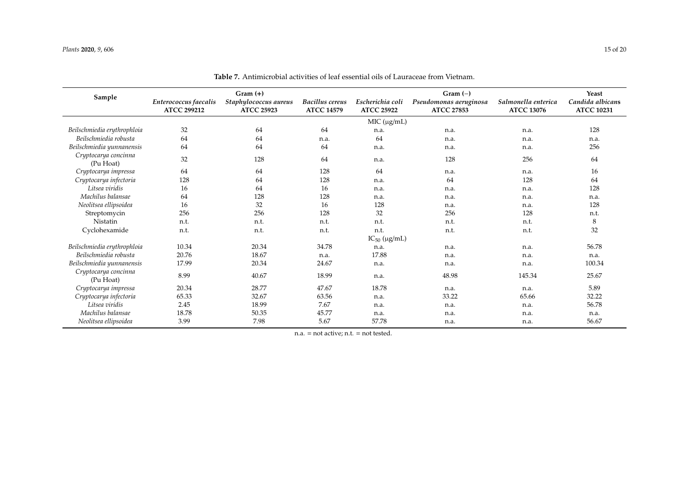#### *Plants* **2020**, *9*, 606 15 of 20 15 of 20 15 of 20 15 of 20 15 of 20 15 of 20 15 of 20 15 of 20 15 of 20 15 of 20 15 of 20 15 of 20 15 of 20 15 of 20 15 of 20 15 of 20 15 of 20 15 of 20 15 of 20 15 of 20 15 of 20 16 17 o

<span id="page-14-0"></span>

|                                   | $Gram (+)$                                  |                                            |                                                                                                           | $Gram(-)$ |                        |                                          | Yeast                                 |
|-----------------------------------|---------------------------------------------|--------------------------------------------|-----------------------------------------------------------------------------------------------------------|-----------|------------------------|------------------------------------------|---------------------------------------|
| Sample                            | Enterococcus faecalis<br><b>ATCC 299212</b> | Staphylococcus aureus<br><b>ATCC 25923</b> | <b>Bacillus</b> cereus<br>Escherichia coli<br><b>ATCC 14579</b><br><b>ATCC 25922</b><br><b>ATCC 27853</b> |           | Pseudomonas aeruginosa | Salmonella enterica<br><b>ATCC 13076</b> | Candida albicans<br><b>ATCC 10231</b> |
|                                   |                                             | MIC (µg/mL)                                |                                                                                                           |           |                        |                                          |                                       |
| Beilschmiedia erythrophloia       | 32                                          | 64                                         | 64                                                                                                        | n.a.      | n.a.                   | n.a.                                     | 128                                   |
| Beilschmiedia robusta             | 64                                          | 64                                         | n.a.                                                                                                      | 64        | n.a.                   | n.a.                                     | n.a.                                  |
| Beilschmiedia yunnanensis         | 64                                          | 64                                         | 64                                                                                                        | n.a.      | n.a.                   | n.a.                                     | 256                                   |
| Cryptocarya concinna<br>(Pu Hoat) | 32                                          | 128                                        | 64                                                                                                        | n.a.      | 128                    | 256                                      | 64                                    |
| Cryptocarya impressa              | 64                                          | 64                                         | 128                                                                                                       | 64        | n.a.                   | n.a.                                     | 16                                    |
| Cryptocarya infectoria            | 128                                         | 64                                         | 128                                                                                                       | n.a.      | 64                     | 128                                      | 64                                    |
| Litsea viridis                    | 16                                          | 64                                         | 16                                                                                                        | n.a.      | n.a.                   | n.a.                                     | 128                                   |
| Machilus balansae                 | 64                                          | 128                                        | 128                                                                                                       | n.a.      | n.a.                   | n.a.                                     | n.a.                                  |
| Neolitsea ellipsoidea             | 16                                          | 32                                         | 16                                                                                                        | 128       | n.a.                   | n.a.                                     | 128                                   |
| Streptomycin                      | 256                                         | 256                                        | 128                                                                                                       | 32        | 256                    | 128                                      | n.t.                                  |
| <b>Nistatin</b>                   | n.t.                                        | n.t.                                       | n.t.                                                                                                      | n.t.      | n.t.                   | n.t.                                     | 8                                     |
| Cyclohexamide                     | n.t.                                        | n.t.                                       | n.t.                                                                                                      | n.t.      | n.t.                   | n.t.                                     | 32                                    |
|                                   | $IC_{50}$ ( $\mu$ g/mL)                     |                                            |                                                                                                           |           |                        |                                          |                                       |
| Beilschmiedia erythrophloia       | 10.34                                       | 20.34                                      | 34.78                                                                                                     | n.a.      | n.a.                   | n.a.                                     | 56.78                                 |
| Beilschmiedia robusta             | 20.76                                       | 18.67                                      | n.a.                                                                                                      | 17.88     | n.a.                   | n.a.                                     | n.a.                                  |
| Beilschmiedia yunnanensis         | 17.99                                       | 20.34                                      | 24.67                                                                                                     | n.a.      | n.a.                   | n.a.                                     | 100.34                                |
| Cryptocarya concinna<br>(Pu Hoat) | 8.99                                        | 40.67                                      | 18.99                                                                                                     | n.a.      | 48.98                  | 145.34                                   | 25.67                                 |
| Cryptocarya impressa              | 20.34                                       | 28.77                                      | 47.67                                                                                                     | 18.78     | n.a.                   | n.a.                                     | 5.89                                  |
| Cryptocarya infectoria            | 65.33                                       | 32.67                                      | 63.56                                                                                                     | n.a.      | 33.22                  | 65.66                                    | 32.22                                 |
| Litsea viridis                    | 2.45                                        | 18.99                                      | 7.67                                                                                                      | n.a.      | n.a.                   | n.a.                                     | 56.78                                 |
| Machilus balansae                 | 18.78                                       | 50.35                                      | 45.77                                                                                                     | n.a.      | n.a.                   | n.a.                                     | n.a.                                  |
| Neolitsea ellipsoidea             | 3.99                                        | 7.98                                       | 5.67                                                                                                      | 57.78     | n.a.                   | n.a.                                     | 56.67                                 |

**Table 7.** Antimicrobial activities of leaf essential oils of Lauraceae from Vietnam.

n.a. = not active; n.t. = not tested.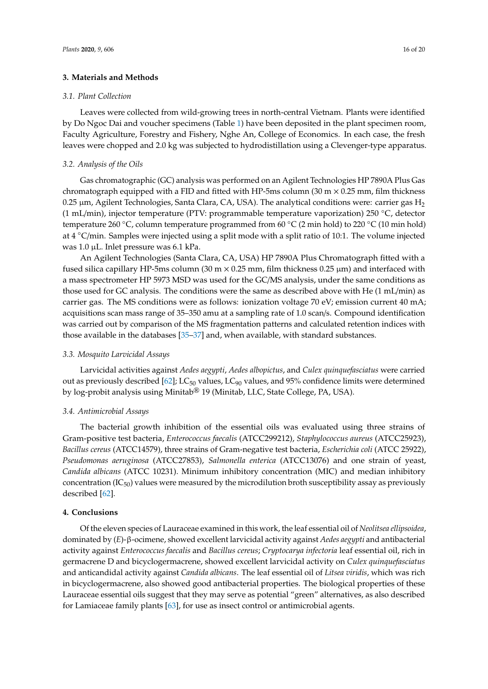#### **3. Materials and Methods**

#### *3.1. Plant Collection*

Leaves were collected from wild-growing trees in north-central Vietnam. Plants were identified by Do Ngoc Dai and voucher specimens (Table [1\)](#page-2-0) have been deposited in the plant specimen room, Faculty Agriculture, Forestry and Fishery, Nghe An, College of Economics. In each case, the fresh leaves were chopped and 2.0 kg was subjected to hydrodistillation using a Clevenger-type apparatus.

# *3.2. Analysis of the Oils*

Gas chromatographic (GC) analysis was performed on an Agilent Technologies HP 7890A Plus Gas chromatograph equipped with a FID and fitted with HP-5ms column (30 m  $\times$  0.25 mm, film thickness 0.25  $\mu$ m, Agilent Technologies, Santa Clara, CA, USA). The analytical conditions were: carrier gas H<sub>2</sub> (1 mL/min), injector temperature (PTV: programmable temperature vaporization) 250 ◦C, detector temperature 260 ◦C, column temperature programmed from 60 ◦C (2 min hold) to 220 ◦C (10 min hold) at 4 ◦C/min. Samples were injected using a split mode with a split ratio of 10:1. The volume injected was 1.0 µL. Inlet pressure was 6.1 kPa.

An Agilent Technologies (Santa Clara, CA, USA) HP 7890A Plus Chromatograph fitted with a fused silica capillary HP-5ms column (30 m  $\times$  0.25 mm, film thickness 0.25  $\mu$ m) and interfaced with a mass spectrometer HP 5973 MSD was used for the GC/MS analysis, under the same conditions as those used for GC analysis. The conditions were the same as described above with He (1 mL/min) as carrier gas. The MS conditions were as follows: ionization voltage 70 eV; emission current 40 mA; acquisitions scan mass range of 35–350 amu at a sampling rate of 1.0 scan/s. Compound identification was carried out by comparison of the MS fragmentation patterns and calculated retention indices with those available in the databases [\[35–](#page-17-13)[37\]](#page-17-14) and, when available, with standard substances.

#### *3.3. Mosquito Larvicidal Assays*

Larvicidal activities against *Aedes aegypti*, *Aedes albopictus*, and *Culex quinquefasciatus* were carried out as previously described [\[62\]](#page-19-0); LC<sub>50</sub> values, LC<sub>90</sub> values, and 95% confidence limits were determined by log-probit analysis using Minitab® 19 (Minitab, LLC, State College, PA, USA).

### *3.4. Antimicrobial Assays*

The bacterial growth inhibition of the essential oils was evaluated using three strains of Gram-positive test bacteria, *Enterococcus faecalis* (ATCC299212), *Staphylococcus aureus* (ATCC25923), *Bacillus cereus* (ATCC14579), three strains of Gram-negative test bacteria, *Escherichia coli* (ATCC 25922), *Pseudomonas aeruginosa* (ATCC27853), *Salmonella enterica* (ATCC13076) and one strain of yeast, *Candida albicans* (ATCC 10231). Minimum inhibitory concentration (MIC) and median inhibitory concentration  $(IC_{50})$  values were measured by the microdilution broth susceptibility assay as previously described [\[62\]](#page-19-0).

#### **4. Conclusions**

Of the eleven species of Lauraceae examined in this work, the leaf essential oil of *Neolitsea ellipsoidea*, dominated by (*E*)-β-ocimene, showed excellent larvicidal activity against *Aedes aegypti* and antibacterial activity against *Enterococcus faecalis* and *Bacillus cereus*; *Cryptocarya infectoria* leaf essential oil, rich in germacrene D and bicyclogermacrene, showed excellent larvicidal activity on *Culex quinquefasciatus* and anticandidal activity against *Candida albicans*. The leaf essential oil of *Litsea viridis*, which was rich in bicyclogermacrene, also showed good antibacterial properties. The biological properties of these Lauraceae essential oils suggest that they may serve as potential "green" alternatives, as also described for Lamiaceae family plants [\[63\]](#page-19-1), for use as insect control or antimicrobial agents.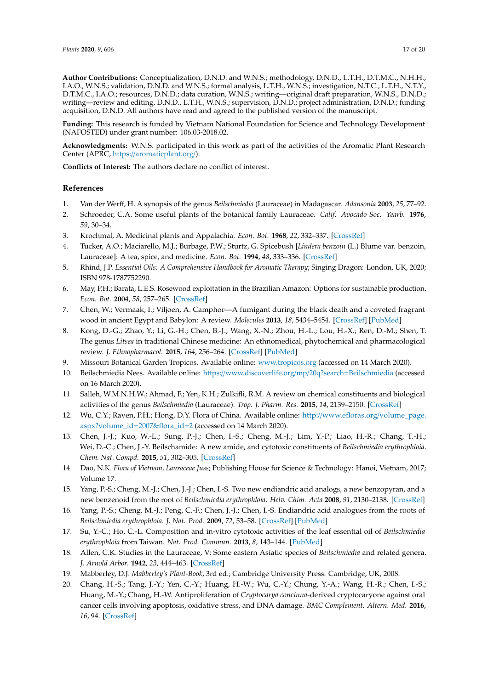**Author Contributions:** Conceptualization, D.N.D. and W.N.S.; methodology, D.N.D., L.T.H., D.T.M.C., N.H.H., I.A.O., W.N.S.; validation, D.N.D. and W.N.S.; formal analysis, L.T.H., W.N.S.; investigation, N.T.C., L.T.H., N.T.Y., D.T.M.C., I.A.O.; resources, D.N.D.; data curation, W.N.S.; writing—original draft preparation, W.N.S., D.N.D.; writing—review and editing, D.N.D., L.T.H., W.N.S.; supervision, D.N.D.; project administration, D.N.D.; funding acquisition, D.N.D. All authors have read and agreed to the published version of the manuscript.

**Funding:** This research is funded by Vietnam National Foundation for Science and Technology Development (NAFOSTED) under grant number: 106.03-2018.02.

**Acknowledgments:** W.N.S. participated in this work as part of the activities of the Aromatic Plant Research Center (APRC, https://[aromaticplant.org](https://aromaticplant.org/)/).

**Conflicts of Interest:** The authors declare no conflict of interest.

# **References**

- <span id="page-16-0"></span>1. Van der Werff, H. A synopsis of the genus *Beilschmiedia* (Lauraceae) in Madagascar. *Adansonia* **2003**, *25*, 77–92.
- <span id="page-16-1"></span>2. Schroeder, C.A. Some useful plants of the botanical family Lauraceae. *Calif. Avocado Soc. Yearb.* **1976**, *59*, 30–34.
- <span id="page-16-2"></span>3. Krochmal, A. Medicinal plants and Appalachia. *Econ. Bot.* **1968**, *22*, 332–337. [\[CrossRef\]](http://dx.doi.org/10.1007/BF02908128)
- <span id="page-16-3"></span>4. Tucker, A.O.; Maciarello, M.J.; Burbage, P.W.; Sturtz, G. Spicebush [*Lindera benzoin* (L.) Blume var. benzoin, Lauraceae]: A tea, spice, and medicine. *Econ. Bot.* **1994**, *48*, 333–336. [\[CrossRef\]](http://dx.doi.org/10.1007/BF02862336)
- <span id="page-16-4"></span>5. Rhind, J.P. *Essential Oils: A Comprehensive Handbook for Aromatic Therapy*; Singing Dragon: London, UK, 2020; ISBN 978-1787752290.
- <span id="page-16-5"></span>6. May, P.H.; Barata, L.E.S. Rosewood exploitation in the Brazilian Amazon: Options for sustainable production. *Econ. Bot.* **2004**, *58*, 257–265. [\[CrossRef\]](http://dx.doi.org/10.1663/0013-0001(2004)058[0257:REITBA]2.0.CO;2)
- <span id="page-16-6"></span>7. Chen, W.; Vermaak, I.; Viljoen, A. Camphor—A fumigant during the black death and a coveted fragrant wood in ancient Egypt and Babylon: A review. *Molecules* **2013**, *18*, 5434–5454. [\[CrossRef\]](http://dx.doi.org/10.3390/molecules18055434) [\[PubMed\]](http://www.ncbi.nlm.nih.gov/pubmed/23666009)
- <span id="page-16-7"></span>8. Kong, D.-G.; Zhao, Y.; Li, G.-H.; Chen, B.-J.; Wang, X.-N.; Zhou, H.-L.; Lou, H.-X.; Ren, D.-M.; Shen, T. The genus *Litsea* in traditional Chinese medicine: An ethnomedical, phytochemical and pharmacological review. *J. Ethnopharmacol.* **2015**, *164*, 256–264. [\[CrossRef\]](http://dx.doi.org/10.1016/j.jep.2015.02.020) [\[PubMed\]](http://www.ncbi.nlm.nih.gov/pubmed/25698244)
- <span id="page-16-8"></span>9. Missouri Botanical Garden Tropicos. Available online: <www.tropicos.org> (accessed on 14 March 2020).
- <span id="page-16-9"></span>10. Beilschmiedia Nees. Available online: https://[www.discoverlife.org](https://www.discoverlife.org/mp/20q?search=Beilschmiedia)/mp/20q?search=Beilschmiedia (accessed on 16 March 2020).
- <span id="page-16-10"></span>11. Salleh, W.M.N.H.W.; Ahmad, F.; Yen, K.H.; Zulkifli, R.M. A review on chemical constituents and biological activities of the genus *Beilschmiedia* (Lauraceae). *Trop. J. Pharm. Res.* **2015**, *14*, 2139–2150. [\[CrossRef\]](http://dx.doi.org/10.4314/tjpr.v14i11.28)
- <span id="page-16-11"></span>12. Wu, C.Y.; Raven, P.H.; Hong, D.Y. Flora of China. Available online: http://[www.efloras.org](http://www.efloras.org/volume_page.aspx?volume_id=2007&flora_id=2)/volume\_page. [aspx?volume\\_id](http://www.efloras.org/volume_page.aspx?volume_id=2007&flora_id=2)=2007&flora\_id=2 (accessed on 14 March 2020).
- <span id="page-16-12"></span>13. Chen, J.-J.; Kuo, W.-L.; Sung, P.-J.; Chen, I.-S.; Cheng, M.-J.; Lim, Y.-P.; Liao, H.-R.; Chang, T.-H.; Wei, D.-C.; Chen, J.-Y. Beilschamide: A new amide, and cytotoxic constituents of *Beilschmiedia erythrophloia*. *Chem. Nat. Compd.* **2015**, *51*, 302–305. [\[CrossRef\]](http://dx.doi.org/10.1007/s10600-015-1265-0)
- <span id="page-16-13"></span>14. Dao, N.K. *Flora of Vietnam, Lauraceae Juss*; Publishing House for Science & Technology: Hanoi, Vietnam, 2017; Volume 17.
- <span id="page-16-14"></span>15. Yang, P.-S.; Cheng, M.-J.; Chen, J.-J.; Chen, I.-S. Two new endiandric acid analogs, a new benzopyran, and a new benzenoid from the root of *Beilschmiedia erythrophloia*. *Helv. Chim. Acta* **2008**, *91*, 2130–2138. [\[CrossRef\]](http://dx.doi.org/10.1002/hlca.200890229)
- <span id="page-16-15"></span>16. Yang, P.-S.; Cheng, M.-J.; Peng, C.-F.; Chen, J.-J.; Chen, I.-S. Endiandric acid analogues from the roots of *Beilschmiedia erythrophloia*. *J. Nat. Prod.* **2009**, *72*, 53–58. [\[CrossRef\]](http://dx.doi.org/10.1021/np800504w) [\[PubMed\]](http://www.ncbi.nlm.nih.gov/pubmed/19072217)
- <span id="page-16-16"></span>17. Su, Y.-C.; Ho, C.-L. Composition and in-vitro cytotoxic activities of the leaf essential oil of *Beilschmiedia erythrophloia* from Taiwan. *Nat. Prod. Commun.* **2013**, *8*, 143–144. [\[PubMed\]](http://www.ncbi.nlm.nih.gov/pubmed/23472481)
- <span id="page-16-17"></span>18. Allen, C.K. Studies in the Lauraceae, V: Some eastern Asiatic species of *Beilschmiedia* and related genera. *J. Arnold Arbor.* **1942**, *23*, 444–463. [\[CrossRef\]](http://dx.doi.org/10.5962/bhl.part.18684)
- <span id="page-16-18"></span>19. Mabberley, D.J. *Mabberley's Plant-Book*, 3rd ed.; Cambridge University Press: Cambridge, UK, 2008.
- <span id="page-16-19"></span>20. Chang, H.-S.; Tang, J.-Y.; Yen, C.-Y.; Huang, H.-W.; Wu, C.-Y.; Chung, Y.-A.; Wang, H.-R.; Chen, I.-S.; Huang, M.-Y.; Chang, H.-W. Antiproliferation of *Cryptocarya concinna*-derived cryptocaryone against oral cancer cells involving apoptosis, oxidative stress, and DNA damage. *BMC Complement. Altern. Med.* **2016**, *16*, 94. [\[CrossRef\]](http://dx.doi.org/10.1186/s12906-016-1073-5)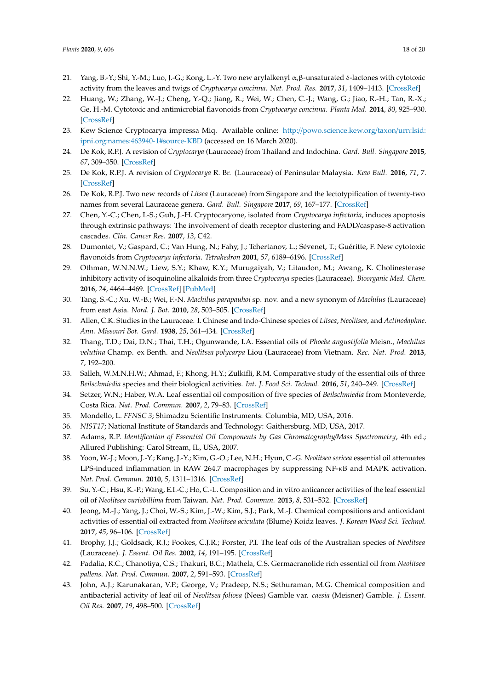- <span id="page-17-0"></span>21. Yang, B.-Y.; Shi, Y.-M.; Luo, J.-G.; Kong, L.-Y. Two new arylalkenyl α,β-unsaturated δ-lactones with cytotoxic activity from the leaves and twigs of *Cryptocarya concinna*. *Nat. Prod. Res.* **2017**, *31*, 1409–1413. [\[CrossRef\]](http://dx.doi.org/10.1080/14786419.2016.1255886)
- <span id="page-17-1"></span>22. Huang, W.; Zhang, W.-J.; Cheng, Y.-Q.; Jiang, R.; Wei, W.; Chen, C.-J.; Wang, G.; Jiao, R.-H.; Tan, R.-X.; Ge, H.-M. Cytotoxic and antimicrobial flavonoids from *Cryptocarya concinna*. *Planta Med.* **2014**, *80*, 925–930. [\[CrossRef\]](http://dx.doi.org/10.1055/s-0034-1368613)
- <span id="page-17-2"></span>23. Kew Science Cryptocarya impressa Miq. Available online: http://[powo.science.kew.org](http://powo.science.kew.org/taxon/urn:lsid:ipni.org:names:463940-1#source-KBD)/taxon/urn:lsid: [ipni.org:names:463940-1#source-KBD](http://powo.science.kew.org/taxon/urn:lsid:ipni.org:names:463940-1#source-KBD) (accessed on 16 March 2020).
- <span id="page-17-3"></span>24. De Kok, R.P.J. A revision of *Cryptocarya* (Lauraceae) from Thailand and Indochina. *Gard. Bull. Singapore* **2015**, *67*, 309–350. [\[CrossRef\]](http://dx.doi.org/10.3850/S2382581215000277)
- 25. De Kok, R.P.J. A revision of *Cryptocarya* R. Br. (Lauraceae) of Peninsular Malaysia. *Kew Bull.* **2016**, *71*, 7. [\[CrossRef\]](http://dx.doi.org/10.1007/s12225-016-9613-1)
- <span id="page-17-4"></span>26. De Kok, R.P.J. Two new records of *Litsea* (Lauraceae) from Singapore and the lectotypification of twenty-two names from several Lauraceae genera. *Gard. Bull. Singapore* **2017**, *69*, 167–177. [\[CrossRef\]](http://dx.doi.org/10.26492/gbs69(2).2017-02)
- <span id="page-17-5"></span>27. Chen, Y.-C.; Chen, I.-S.; Guh, J.-H. Cryptocaryone, isolated from *Cryptocarya infectoria*, induces apoptosis through extrinsic pathways: The involvement of death receptor clustering and FADD/caspase-8 activation cascades. *Clin. Cancer Res.* **2007**, *13*, C42.
- <span id="page-17-6"></span>28. Dumontet, V.; Gaspard, C.; Van Hung, N.; Fahy, J.; Tchertanov, L.; Sévenet, T.; Guéritte, F. New cytotoxic flavonoids from *Cryptocarya infectoria*. *Tetrahedron* **2001**, *57*, 6189–6196. [\[CrossRef\]](http://dx.doi.org/10.1016/S0040-4020(01)00596-8)
- <span id="page-17-7"></span>29. Othman, W.N.N.W.; Liew, S.Y.; Khaw, K.Y.; Murugaiyah, V.; Litaudon, M.; Awang, K. Cholinesterase inhibitory activity of isoquinoline alkaloids from three *Cryptocarya* species (Lauraceae). *Bioorganic Med. Chem.* **2016**, *24*, 4464–4469. [\[CrossRef\]](http://dx.doi.org/10.1016/j.bmc.2016.07.043) [\[PubMed\]](http://www.ncbi.nlm.nih.gov/pubmed/27492195)
- <span id="page-17-8"></span>30. Tang, S.-C.; Xu, W.-B.; Wei, F.-N. *Machilus parapauhoi* sp. nov. and a new synonym of *Machilus* (Lauraceae) from east Asia. *Nord. J. Bot.* **2010**, *28*, 503–505. [\[CrossRef\]](http://dx.doi.org/10.1111/j.1756-1051.2010.00748.x)
- <span id="page-17-9"></span>31. Allen, C.K. Studies in the Lauraceae. I. Chinese and Indo-Chinese species of *Litsea*, *Neolitsea*, and *Actinodaphne*. *Ann. Missouri Bot. Gard.* **1938**, *25*, 361–434. [\[CrossRef\]](http://dx.doi.org/10.2307/2394482)
- <span id="page-17-10"></span>32. Thang, T.D.; Dai, D.N.; Thai, T.H.; Ogunwande, I.A. Essential oils of *Phoebe angustifolia* Meisn., *Machilus velutina* Champ. ex Benth. and *Neolitsea polycarpa* Liou (Lauraceae) from Vietnam. *Rec. Nat. Prod.* **2013**, *7*, 192–200.
- <span id="page-17-11"></span>33. Salleh, W.M.N.H.W.; Ahmad, F.; Khong, H.Y.; Zulkifli, R.M. Comparative study of the essential oils of three *Beilschmiedia* species and their biological activities. *Int. J. Food Sci. Technol.* **2016**, *51*, 240–249. [\[CrossRef\]](http://dx.doi.org/10.1111/ijfs.12962)
- <span id="page-17-12"></span>34. Setzer, W.N.; Haber, W.A. Leaf essential oil composition of five species of *Beilschmiedia* from Monteverde, Costa Rica. *Nat. Prod. Commun.* **2007**, *2*, 79–83. [\[CrossRef\]](http://dx.doi.org/10.1177/1934578X0700200116)
- <span id="page-17-13"></span>35. Mondello, L. *FFNSC 3*; Shimadzu Scientific Instruments: Columbia, MD, USA, 2016.
- 36. *NIST17*; National Institute of Standards and Technology: Gaithersburg, MD, USA, 2017.
- <span id="page-17-14"></span>37. Adams, R.P. *Identification of Essential Oil Components by Gas Chromatography*/*Mass Spectrometry*, 4th ed.; Allured Publishing: Carol Stream, IL, USA, 2007.
- <span id="page-17-15"></span>38. Yoon, W.-J.; Moon, J.-Y.; Kang, J.-Y.; Kim, G.-O.; Lee, N.H.; Hyun, C.-G. *Neolitsea sericea* essential oil attenuates LPS-induced inflammation in RAW 264.7 macrophages by suppressing NF-κB and MAPK activation. *Nat. Prod. Commun.* **2010**, *5*, 1311–1316. [\[CrossRef\]](http://dx.doi.org/10.1177/1934578X1000500835)
- <span id="page-17-16"></span>39. Su, Y.-C.; Hsu, K.-P.; Wang, E.I.-C.; Ho, C.-L. Composition and in vitro anticancer activities of the leaf essential oil of *Neolitsea variabillima* from Taiwan. *Nat. Prod. Commun.* **2013**, *8*, 531–532. [\[CrossRef\]](http://dx.doi.org/10.1177/1934578X1300800432)
- <span id="page-17-17"></span>40. Jeong, M.-J.; Yang, J.; Choi, W.-S.; Kim, J.-W.; Kim, S.J.; Park, M.-J. Chemical compositions and antioxidant activities of essential oil extracted from *Neolitsea aciculata* (Blume) Koidz leaves. *J. Korean Wood Sci. Technol.* **2017**, *45*, 96–106. [\[CrossRef\]](http://dx.doi.org/10.5658/WOOD.2017.45.1.96)
- <span id="page-17-18"></span>41. Brophy, J.J.; Goldsack, R.J.; Fookes, C.J.R.; Forster, P.I. The leaf oils of the Australian species of *Neolitsea* (Lauraceae). *J. Essent. Oil Res.* **2002**, *14*, 191–195. [\[CrossRef\]](http://dx.doi.org/10.1080/10412905.2002.9699821)
- <span id="page-17-19"></span>42. Padalia, R.C.; Chanotiya, C.S.; Thakuri, B.C.; Mathela, C.S. Germacranolide rich essential oil from *Neolitsea pallens*. *Nat. Prod. Commun.* **2007**, *2*, 591–593. [\[CrossRef\]](http://dx.doi.org/10.1177/1934578X0700200516)
- <span id="page-17-20"></span>43. John, A.J.; Karunakaran, V.P.; George, V.; Pradeep, N.S.; Sethuraman, M.G. Chemical composition and antibacterial activity of leaf oil of *Neolitsea foliosa* (Nees) Gamble var. *caesia* (Meisner) Gamble. *J. Essent. Oil Res.* **2007**, *19*, 498–500. [\[CrossRef\]](http://dx.doi.org/10.1080/10412905.2007.9699962)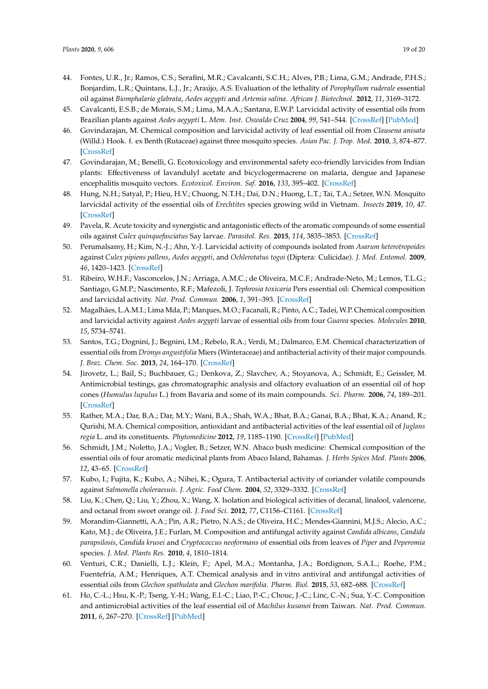- <span id="page-18-0"></span>44. Fontes, U.R., Jr.; Ramos, C.S.; Serafini, M.R.; Cavalcanti, S.C.H.; Alves, P.B.; Lima, G.M.; Andrade, P.H.S.; Bonjardim, L.R.; Quintans, L.J., Jr.; Araújo, A.S. Evaluation of the lethality of *Porophyllum ruderale* essential oil against *Biomphalaria glabrata*, *Aedes aegypti* and *Artemia salina*. *African J. Biotechnol.* **2012**, *11*, 3169–3172.
- <span id="page-18-1"></span>45. Cavalcanti, E.S.B.; de Morais, S.M.; Lima, M.A.A.; Santana, E.W.P. Larvicidal activity of essential oils from Brazilian plants against *Aedes aegypti* L. *Mem. Inst. Oswaldo Cruz* **2004**, *99*, 541–544. [\[CrossRef\]](http://dx.doi.org/10.1590/S0074-02762004000500015) [\[PubMed\]](http://www.ncbi.nlm.nih.gov/pubmed/15543421)
- <span id="page-18-2"></span>46. Govindarajan, M. Chemical composition and larvicidal activity of leaf essential oil from *Clausena anisata* (Willd.) Hook. f. ex Benth (Rutaceae) against three mosquito species. *Asian Pac. J. Trop. Med.* **2010**, *3*, 874–877. [\[CrossRef\]](http://dx.doi.org/10.1016/S1995-7645(10)60210-6)
- <span id="page-18-3"></span>47. Govindarajan, M.; Benelli, G. Ecotoxicology and environmental safety eco-friendly larvicides from Indian plants: Effectiveness of lavandulyl acetate and bicyclogermacrene on malaria, dengue and Japanese encephalitis mosquito vectors. *Ecotoxicol. Environ. Saf.* **2016**, *133*, 395–402. [\[CrossRef\]](http://dx.doi.org/10.1016/j.ecoenv.2016.07.035)
- <span id="page-18-4"></span>48. Hung, N.H.; Satyal, P.; Hieu, H.V.; Chuong, N.T.H.; Dai, D.N.; Huong, L.T.; Tai, T.A.; Setzer, W.N. Mosquito larvicidal activity of the essential oils of *Erechtites* species growing wild in Vietnam. *Insects* **2019**, *10*, 47. [\[CrossRef\]](http://dx.doi.org/10.3390/insects10020047)
- <span id="page-18-5"></span>49. Pavela, R. Acute toxicity and synergistic and antagonistic effects of the aromatic compounds of some essential oils against *Culex quinquefasciatus* Say larvae. *Parasitol. Res.* **2015**, *114*, 3835–3853. [\[CrossRef\]](http://dx.doi.org/10.1007/s00436-015-4614-9)
- <span id="page-18-6"></span>50. Perumalsamy, H.; Kim, N.-J.; Ahn, Y.-J. Larvicidal activity of compounds isolated from *Asarum heterotropoides* against *Culex pipiens pallens*, *Aedes aegypti*, and *Ochlerotatus togoi* (Diptera: Culicidae). *J. Med. Entomol.* **2009**, *46*, 1420–1423. [\[CrossRef\]](http://dx.doi.org/10.1603/033.046.0624)
- <span id="page-18-7"></span>51. Ribeiro, W.H.F.; Vasconcelos, J.N.; Arriaga, A.M.C.; de Oliveira, M.C.F.; Andrade-Neto, M.; Lemos, T.L.G.; Santiago, G.M.P.; Nascimento, R.F.; Mafezoli, J. *Tephrosia toxicaria* Pers essential oil: Chemical composition and larvicidal activity. *Nat. Prod. Commun.* **2006**, *1*, 391–393. [\[CrossRef\]](http://dx.doi.org/10.1177/1934578X0600100509)
- <span id="page-18-8"></span>52. Magalhães, L.A.M.I.; Lima Mda, P.; Marques, M.O.; Facanali, R.; Pinto, A.C.; Tadei, W.P. Chemical composition and larvicidal activity against *Aedes aegypti* larvae of essential oils from four *Guarea* species. *Molecules* **2010**, *15*, 5734–5741.
- <span id="page-18-9"></span>53. Santos, T.G.; Dognini, J.; Begnini, I.M.; Rebelo, R.A.; Verdi, M.; Dalmarco, E.M. Chemical characterization of essential oils from *Drimys angustifolia* Miers (Winteraceae) and antibacterial activity of their major compounds. *J. Braz. Chem. Soc.* **2013**, *24*, 164–170. [\[CrossRef\]](http://dx.doi.org/10.1590/S0103-50532013000100020)
- <span id="page-18-10"></span>54. Jirovetz, L.; Bail, S.; Buchbauer, G.; Denkova, Z.; Slavchev, A.; Stoyanova, A.; Schmidt, E.; Geissler, M. Antimicrobial testings, gas chromatographic analysis and olfactory evaluation of an essential oil of hop cones (*Humulus lupulus* L.) from Bavaria and some of its main compounds. *Sci. Pharm.* **2006**, *74*, 189–201. [\[CrossRef\]](http://dx.doi.org/10.3797/scipharm.2006.74.189)
- <span id="page-18-11"></span>55. Rather, M.A.; Dar, B.A.; Dar, M.Y.; Wani, B.A.; Shah, W.A.; Bhat, B.A.; Ganai, B.A.; Bhat, K.A.; Anand, R.; Qurishi, M.A. Chemical composition, antioxidant and antibacterial activities of the leaf essential oil of *Juglans regia* L. and its constituents. *Phytomedicine* **2012**, *19*, 1185–1190. [\[CrossRef\]](http://dx.doi.org/10.1016/j.phymed.2012.07.018) [\[PubMed\]](http://www.ncbi.nlm.nih.gov/pubmed/22951389)
- <span id="page-18-12"></span>56. Schmidt, J.M.; Noletto, J.A.; Vogler, B.; Setzer, W.N. Abaco bush medicine: Chemical composition of the essential oils of four aromatic medicinal plants from Abaco Island, Bahamas. *J. Herbs Spices Med. Plants* **2006**, *12*, 43–65. [\[CrossRef\]](http://dx.doi.org/10.1300/J044v12n03_04)
- <span id="page-18-13"></span>57. Kubo, I.; Fujita, K.; Kubo, A.; Nihei, K.; Ogura, T. Antibacterial activity of coriander volatile compounds against *Salmonella choleraesuis*. *J. Agric. Food Chem.* **2004**, *52*, 3329–3332. [\[CrossRef\]](http://dx.doi.org/10.1021/jf0354186)
- <span id="page-18-14"></span>Liu, K.; Chen, Q.; Liu, Y.; Zhou, X.; Wang, X. Isolation and biological activities of decanal, linalool, valencene, and octanal from sweet orange oil. *J. Food Sci.* **2012**, *77*, C1156–C1161. [\[CrossRef\]](http://dx.doi.org/10.1111/j.1750-3841.2012.02924.x)
- <span id="page-18-15"></span>59. Morandim-Giannetti, A.A.; Pin, A.R.; Pietro, N.A.S.; de Oliveira, H.C.; Mendes-Giannini, M.J.S.; Alecio, A.C.; Kato, M.J.; de Oliveira, J.E.; Furlan, M. Composition and antifungal activity against *Candida albicans*, *Candida parapsilosis*, *Candida krusei* and *Cryptococcus neoformans* of essential oils from leaves of *Piper* and *Peperomia* species. *J. Med. Plants Res.* **2010**, *4*, 1810–1814.
- <span id="page-18-16"></span>60. Venturi, C.R.; Danielli, L.J.; Klein, F.; Apel, M.A.; Montanha, J.A.; Bordignon, S.A.L.; Roehe, P.M.; Fuentefria, A.M.; Henriques, A.T. Chemical analysis and in vitro antiviral and antifungal activities of essential oils from *Glechon spathulata* and *Glechon marifolia*. *Pharm. Biol.* **2015**, *53*, 682–688. [\[CrossRef\]](http://dx.doi.org/10.3109/13880209.2014.936944)
- <span id="page-18-17"></span>61. Ho, C.-L.; Hsu, K.-P.; Tseng, Y.-H.; Wang, E.I.-C.; Liao, P.-C.; Chouc, J.-C.; Linc, C.-N.; Sua, Y.-C. Composition and antimicrobial activities of the leaf essential oil of *Machilus kusanoi* from Taiwan. *Nat. Prod. Commun.* **2011**, *6*, 267–270. [\[CrossRef\]](http://dx.doi.org/10.1177/1934578X1100600228) [\[PubMed\]](http://www.ncbi.nlm.nih.gov/pubmed/21425691)